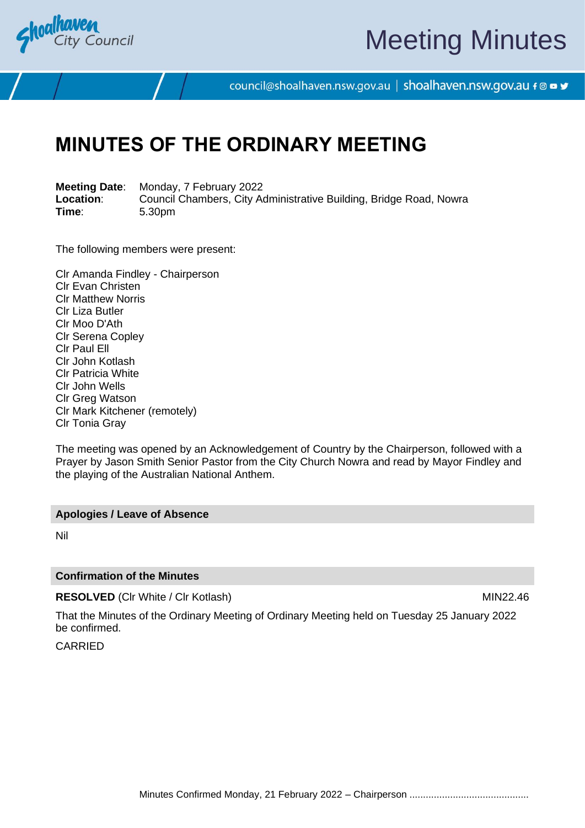

# Meeting Minutes

council@shoalhaven.nsw.gov.au | shoalhaven.nsw.gov.au f @ ■ y

# **MINUTES OF THE ORDINARY MEETING**

**Meeting Date**: Monday, 7 February 2022 **Location:** Council Chambers, City Administrative Building, Bridge Road, Nowra<br>
Time: 5.30pm **Time**: 5.30pm

The following members were present:

Clr Amanda Findley - Chairperson Clr Evan Christen Clr Matthew Norris Clr Liza Butler Clr Moo D'Ath Clr Serena Copley Clr Paul Ell Clr John Kotlash Clr Patricia White Clr John Wells Clr Greg Watson Clr Mark Kitchener (remotely) Clr Tonia Gray

The meeting was opened by an Acknowledgement of Country by the Chairperson, followed with a Prayer by Jason Smith Senior Pastor from the City Church Nowra and read by Mayor Findley and the playing of the Australian National Anthem.

#### **Apologies / Leave of Absence**

Nil

#### **Confirmation of the Minutes**

**RESOLVED** (CIr White / CIr Kotlash) MIN22.46

That the Minutes of the Ordinary Meeting of Ordinary Meeting held on Tuesday 25 January 2022 be confirmed.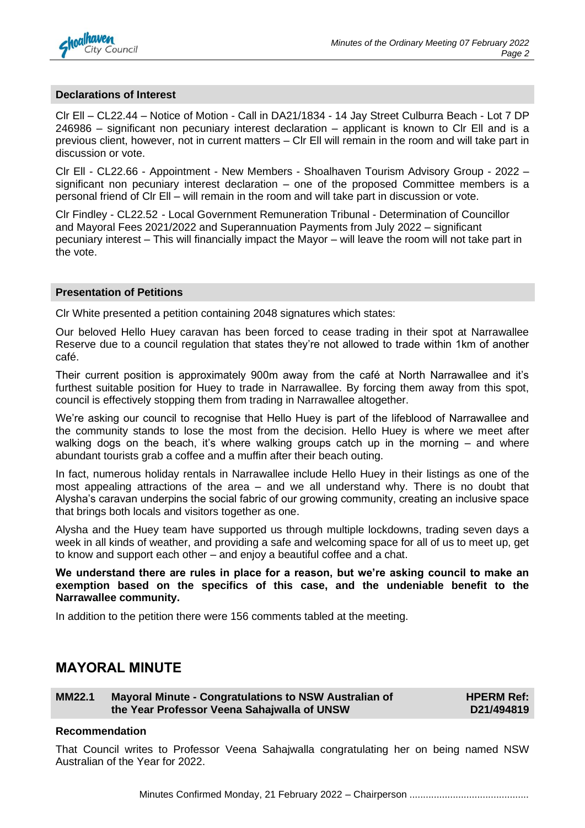

#### **Declarations of Interest**

Clr Ell – CL22.44 – Notice of Motion - Call in DA21/1834 - 14 Jay Street Culburra Beach - Lot 7 DP 246986 – significant non pecuniary interest declaration – applicant is known to Clr Ell and is a previous client, however, not in current matters – Clr Ell will remain in the room and will take part in discussion or vote.

Clr Ell - CL22.66 - Appointment - New Members - Shoalhaven Tourism Advisory Group - 2022 – significant non pecuniary interest declaration – one of the proposed Committee members is a personal friend of Clr Ell – will remain in the room and will take part in discussion or vote.

Clr Findley - CL22.52 - Local Government Remuneration Tribunal - Determination of Councillor and Mayoral Fees 2021/2022 and Superannuation Payments from July 2022 – significant pecuniary interest – This will financially impact the Mayor – will leave the room will not take part in the vote.

#### **Presentation of Petitions**

Clr White presented a petition containing 2048 signatures which states:

Our beloved Hello Huey caravan has been forced to cease trading in their spot at Narrawallee Reserve due to a council regulation that states they're not allowed to trade within 1km of another café.

Their current position is approximately 900m away from the café at North Narrawallee and it's furthest suitable position for Huey to trade in Narrawallee. By forcing them away from this spot, council is effectively stopping them from trading in Narrawallee altogether.

We're asking our council to recognise that Hello Huey is part of the lifeblood of Narrawallee and the community stands to lose the most from the decision. Hello Huey is where we meet after walking dogs on the beach, it's where walking groups catch up in the morning – and where abundant tourists grab a coffee and a muffin after their beach outing.

In fact, numerous holiday rentals in Narrawallee include Hello Huey in their listings as one of the most appealing attractions of the area – and we all understand why. There is no doubt that Alysha's caravan underpins the social fabric of our growing community, creating an inclusive space that brings both locals and visitors together as one.

Alysha and the Huey team have supported us through multiple lockdowns, trading seven days a week in all kinds of weather, and providing a safe and welcoming space for all of us to meet up, get to know and support each other – and enjoy a beautiful coffee and a chat.

**We understand there are rules in place for a reason, but we're asking council to make an exemption based on the specifics of this case, and the undeniable benefit to the Narrawallee community.**

In addition to the petition there were 156 comments tabled at the meeting.

## **MAYORAL MINUTE**

**MM22.1 Mayoral Minute - Congratulations to NSW Australian of the Year Professor Veena Sahajwalla of UNSW**

**HPERM Ref: D21/494819**

#### **Recommendation**

That Council writes to Professor Veena Sahajwalla congratulating her on being named NSW Australian of the Year for 2022.

Minutes Confirmed Monday, 21 February 2022 – Chairperson ............................................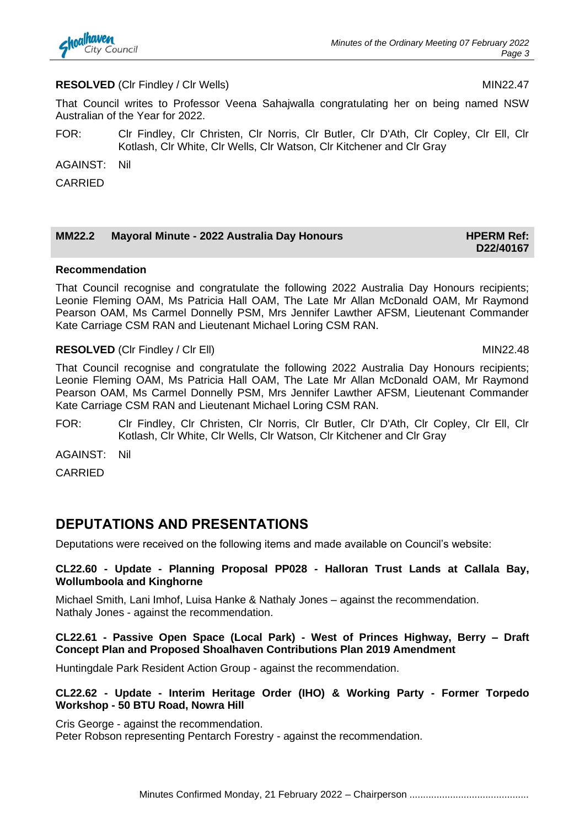

#### **RESOLVED** (CIr Findley / CIr Wells) MIN22.47

That Council writes to Professor Veena Sahajwalla congratulating her on being named NSW Australian of the Year for 2022.

FOR: Clr Findley, Clr Christen, Clr Norris, Clr Butler, Clr D'Ath, Clr Copley, Clr Ell, Clr Kotlash, Clr White, Clr Wells, Clr Watson, Clr Kitchener and Clr Gray

AGAINST: Nil

CARRIED

### **MM22.2 Mayoral Minute - 2022 Australia Day Honours <b>HPERM Ref: HPERM Ref:**

# **D22/40167**

#### **Recommendation**

That Council recognise and congratulate the following 2022 Australia Day Honours recipients; Leonie Fleming OAM, Ms Patricia Hall OAM, The Late Mr Allan McDonald OAM, Mr Raymond Pearson OAM, Ms Carmel Donnelly PSM, Mrs Jennifer Lawther AFSM, Lieutenant Commander Kate Carriage CSM RAN and Lieutenant Michael Loring CSM RAN.

#### **RESOLVED** (CIr Findley / CIr Ell) MIN22.48

That Council recognise and congratulate the following 2022 Australia Day Honours recipients; Leonie Fleming OAM, Ms Patricia Hall OAM, The Late Mr Allan McDonald OAM, Mr Raymond Pearson OAM, Ms Carmel Donnelly PSM, Mrs Jennifer Lawther AFSM, Lieutenant Commander Kate Carriage CSM RAN and Lieutenant Michael Loring CSM RAN.

FOR: Clr Findley, Clr Christen, Clr Norris, Clr Butler, Clr D'Ath, Clr Copley, Clr Ell, Clr Kotlash, Clr White, Clr Wells, Clr Watson, Clr Kitchener and Clr Gray

AGAINST: Nil

CARRIED

# **DEPUTATIONS AND PRESENTATIONS**

Deputations were received on the following items and made available on Council's website:

#### **CL22.60 - Update - Planning Proposal PP028 - Halloran Trust Lands at Callala Bay, Wollumboola and Kinghorne**

Michael Smith, Lani Imhof, Luisa Hanke & Nathaly Jones – against the recommendation. Nathaly Jones - against the recommendation.

#### **CL22.61 - Passive Open Space (Local Park) - West of Princes Highway, Berry – Draft Concept Plan and Proposed Shoalhaven Contributions Plan 2019 Amendment**

Huntingdale Park Resident Action Group - against the recommendation.

#### **CL22.62 - Update - Interim Heritage Order (IHO) & Working Party - Former Torpedo Workshop - 50 BTU Road, Nowra Hill**

Cris George - against the recommendation. Peter Robson representing Pentarch Forestry - against the recommendation.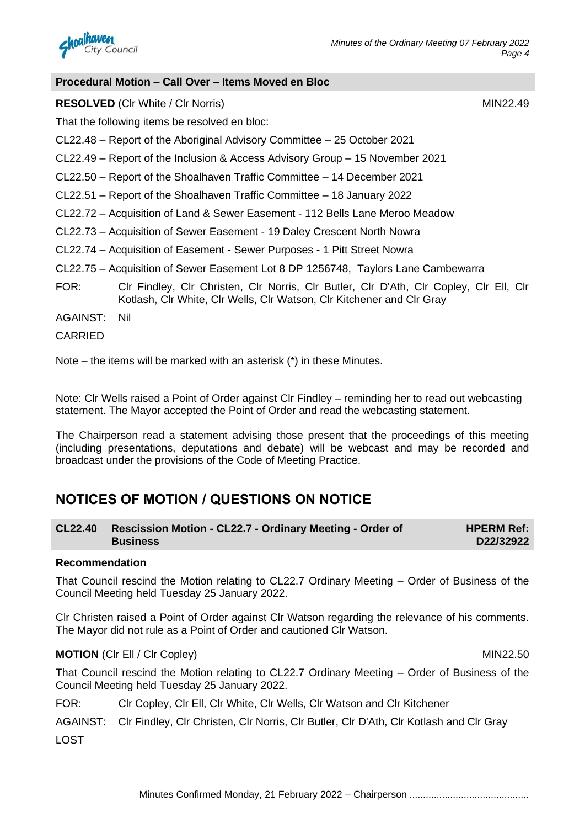

#### **Procedural Motion – Call Over – Items Moved en Bloc**

**RESOLVED** (CIr White / CIr Norris) MIN22.49

That the following items be resolved en bloc:

CL22.48 – Report of the Aboriginal Advisory Committee – 25 October 2021

CL22.49 – Report of the Inclusion & Access Advisory Group – 15 November 2021

CL22.50 – Report of the Shoalhaven Traffic Committee – 14 December 2021

CL22.51 – Report of the Shoalhaven Traffic Committee – 18 January 2022

CL22.72 – Acquisition of Land & Sewer Easement - 112 Bells Lane Meroo Meadow

- CL22.73 Acquisition of Sewer Easement 19 Daley Crescent North Nowra
- CL22.74 Acquisition of Easement Sewer Purposes 1 Pitt Street Nowra
- CL22.75 Acquisition of Sewer Easement Lot 8 DP 1256748, Taylors Lane Cambewarra
- FOR: Clr Findley, Clr Christen, Clr Norris, Clr Butler, Clr D'Ath, Clr Copley, Clr Ell, Clr Kotlash, Clr White, Clr Wells, Clr Watson, Clr Kitchener and Clr Gray

AGAINST: Nil

CARRIED

Note – the items will be marked with an asterisk (\*) in these Minutes.

Note: Clr Wells raised a Point of Order against Clr Findley – reminding her to read out webcasting statement. The Mayor accepted the Point of Order and read the webcasting statement.

The Chairperson read a statement advising those present that the proceedings of this meeting (including presentations, deputations and debate) will be webcast and may be recorded and broadcast under the provisions of the Code of Meeting Practice.

# **NOTICES OF MOTION / QUESTIONS ON NOTICE**

| CL22.40 Rescission Motion - CL22.7 - Ordinary Meeting - Order of | <b>HPERM Ref:</b> |
|------------------------------------------------------------------|-------------------|
| <b>Business</b>                                                  | D22/32922         |

#### **Recommendation**

That Council rescind the Motion relating to CL22.7 Ordinary Meeting – Order of Business of the Council Meeting held Tuesday 25 January 2022.

Clr Christen raised a Point of Order against Clr Watson regarding the relevance of his comments. The Mayor did not rule as a Point of Order and cautioned Clr Watson.

#### **MOTION** (CIr Ell / CIr Copley) **MIN22.50**

That Council rescind the Motion relating to CL22.7 Ordinary Meeting – Order of Business of the Council Meeting held Tuesday 25 January 2022.

FOR: Clr Copley, Clr Ell, Clr White, Clr Wells, Clr Watson and Clr Kitchener

AGAINST: Clr Findley, Clr Christen, Clr Norris, Clr Butler, Clr D'Ath, Clr Kotlash and Clr Gray

LOST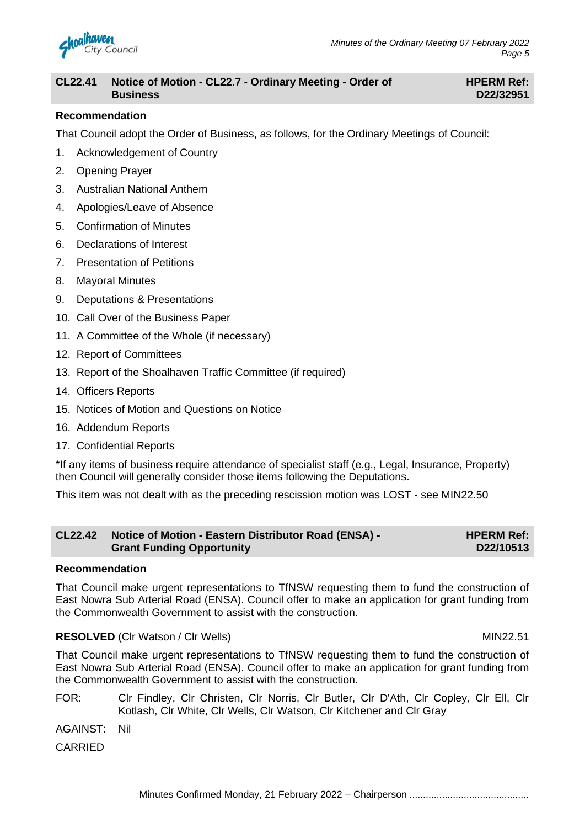

#### **CL22.41 Notice of Motion - CL22.7 - Ordinary Meeting - Order of Business**

#### **HPERM Ref: D22/32951**

#### **Recommendation**

That Council adopt the Order of Business, as follows, for the Ordinary Meetings of Council:

- 1. Acknowledgement of Country
- 2. Opening Prayer
- 3. Australian National Anthem
- 4. Apologies/Leave of Absence
- 5. Confirmation of Minutes
- 6. Declarations of Interest
- 7. Presentation of Petitions
- 8. Mayoral Minutes
- 9. Deputations & Presentations
- 10. Call Over of the Business Paper
- 11. A Committee of the Whole (if necessary)
- 12. Report of Committees
- 13. Report of the Shoalhaven Traffic Committee (if required)
- 14. Officers Reports
- 15. Notices of Motion and Questions on Notice
- 16. Addendum Reports
- 17. Confidential Reports

\*If any items of business require attendance of specialist staff (e.g., Legal, Insurance, Property) then Council will generally consider those items following the Deputations.

This item was not dealt with as the preceding rescission motion was LOST - see MIN22.50

| <b>CL22.42</b> | Notice of Motion - Eastern Distributor Road (ENSA) - | <b>HPERM Ref:</b> |
|----------------|------------------------------------------------------|-------------------|
|                | <b>Grant Funding Opportunity</b>                     | D22/10513         |

#### **Recommendation**

That Council make urgent representations to TfNSW requesting them to fund the construction of East Nowra Sub Arterial Road (ENSA). Council offer to make an application for grant funding from the Commonwealth Government to assist with the construction.

#### **RESOLVED** (Clr Watson / Clr Wells) MIN22.51

That Council make urgent representations to TfNSW requesting them to fund the construction of East Nowra Sub Arterial Road (ENSA). Council offer to make an application for grant funding from the Commonwealth Government to assist with the construction.

- FOR: Clr Findley, Clr Christen, Clr Norris, Clr Butler, Clr D'Ath, Clr Copley, Clr Ell, Clr Kotlash, Clr White, Clr Wells, Clr Watson, Clr Kitchener and Clr Gray
- AGAINST: Nil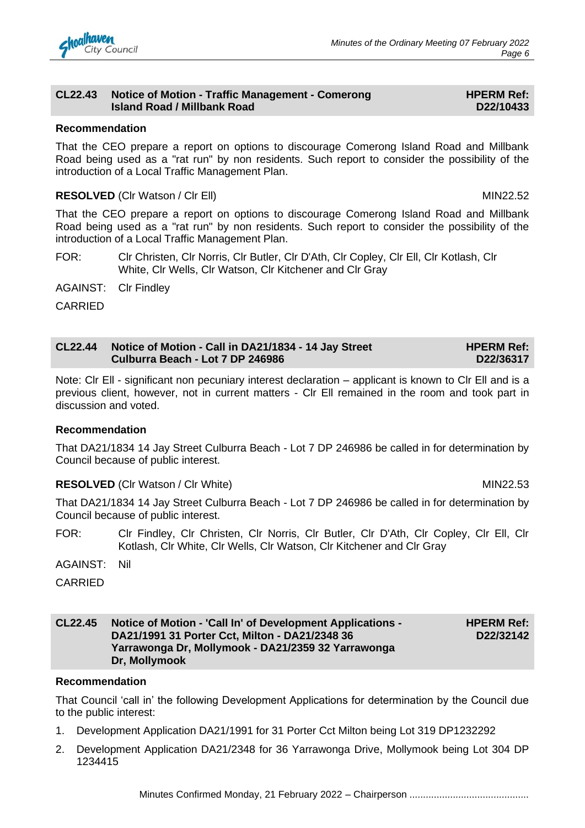

#### **CL22.43 Notice of Motion - Traffic Management - Comerong Island Road / Millbank Road**

#### **HPERM Ref: D22/10433**

#### **Recommendation**

That the CEO prepare a report on options to discourage Comerong Island Road and Millbank Road being used as a "rat run" by non residents. Such report to consider the possibility of the introduction of a Local Traffic Management Plan.

#### **RESOLVED** (CIr Watson / CIr Ell) MIN22.52

That the CEO prepare a report on options to discourage Comerong Island Road and Millbank Road being used as a "rat run" by non residents. Such report to consider the possibility of the introduction of a Local Traffic Management Plan.

FOR: Clr Christen, Clr Norris, Clr Butler, Clr D'Ath, Clr Copley, Clr Ell, Clr Kotlash, Clr White, Clr Wells, Clr Watson, Clr Kitchener and Clr Gray

AGAINST: Clr Findley

CARRIED

| CL22.44 Notice of Motion - Call in DA21/1834 - 14 Jay Street | <b>HPERM Ref:</b> |
|--------------------------------------------------------------|-------------------|
| Culburra Beach - Lot 7 DP 246986                             | D22/36317         |

Note: Clr Ell - significant non pecuniary interest declaration – applicant is known to Clr Ell and is a previous client, however, not in current matters - Clr Ell remained in the room and took part in discussion and voted.

#### **Recommendation**

That DA21/1834 14 Jay Street Culburra Beach - Lot 7 DP 246986 be called in for determination by Council because of public interest.

#### **RESOLVED** (Clr Watson / Clr White) MIN22.53

That DA21/1834 14 Jay Street Culburra Beach - Lot 7 DP 246986 be called in for determination by Council because of public interest.

- FOR: Clr Findley, Clr Christen, Clr Norris, Clr Butler, Clr D'Ath, Clr Copley, Clr Ell, Clr Kotlash, Clr White, Clr Wells, Clr Watson, Clr Kitchener and Clr Gray
- AGAINST: Nil

CARRIED

#### **CL22.45 Notice of Motion - 'Call In' of Development Applications - DA21/1991 31 Porter Cct, Milton - DA21/2348 36 Yarrawonga Dr, Mollymook - DA21/2359 32 Yarrawonga Dr, Mollymook**

**HPERM Ref: D22/32142**

#### **Recommendation**

That Council 'call in' the following Development Applications for determination by the Council due to the public interest:

- 1. Development Application DA21/1991 for 31 Porter Cct Milton being Lot 319 DP1232292
- 2. Development Application DA21/2348 for 36 Yarrawonga Drive, Mollymook being Lot 304 DP 1234415

Minutes Confirmed Monday, 21 February 2022 – Chairperson ............................................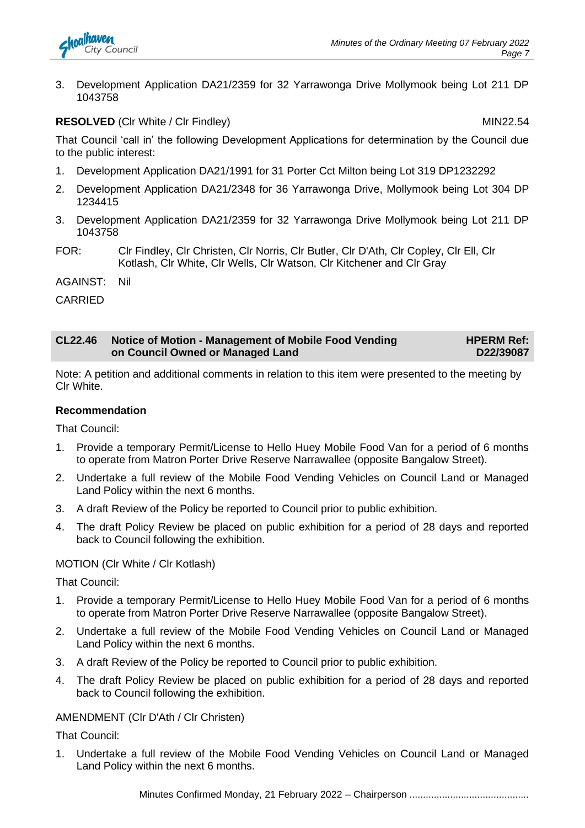

3. Development Application DA21/2359 for 32 Yarrawonga Drive Mollymook being Lot 211 DP 1043758

**RESOLVED** (CIr White / CIr Findley) MIN22.54

That Council 'call in' the following Development Applications for determination by the Council due to the public interest:

- 1. Development Application DA21/1991 for 31 Porter Cct Milton being Lot 319 DP1232292
- 2. Development Application DA21/2348 for 36 Yarrawonga Drive, Mollymook being Lot 304 DP 1234415
- 3. Development Application DA21/2359 for 32 Yarrawonga Drive Mollymook being Lot 211 DP 1043758
- FOR: Clr Findley, Clr Christen, Clr Norris, Clr Butler, Clr D'Ath, Clr Copley, Clr Ell, Clr Kotlash, Clr White, Clr Wells, Clr Watson, Clr Kitchener and Clr Gray
- AGAINST: Nil

CARRIED

#### **CL22.46 Notice of Motion - Management of Mobile Food Vending on Council Owned or Managed Land HPERM Ref: D22/39087**

Note: A petition and additional comments in relation to this item were presented to the meeting by Clr White.

#### **Recommendation**

That Council:

- 1. Provide a temporary Permit/License to Hello Huey Mobile Food Van for a period of 6 months to operate from Matron Porter Drive Reserve Narrawallee (opposite Bangalow Street).
- 2. Undertake a full review of the Mobile Food Vending Vehicles on Council Land or Managed Land Policy within the next 6 months.
- 3. A draft Review of the Policy be reported to Council prior to public exhibition.
- 4. The draft Policy Review be placed on public exhibition for a period of 28 days and reported back to Council following the exhibition.

#### MOTION (Clr White / Clr Kotlash)

That Council:

- 1. Provide a temporary Permit/License to Hello Huey Mobile Food Van for a period of 6 months to operate from Matron Porter Drive Reserve Narrawallee (opposite Bangalow Street).
- 2. Undertake a full review of the Mobile Food Vending Vehicles on Council Land or Managed Land Policy within the next 6 months.
- 3. A draft Review of the Policy be reported to Council prior to public exhibition.
- 4. The draft Policy Review be placed on public exhibition for a period of 28 days and reported back to Council following the exhibition.

#### AMENDMENT (Clr D'Ath / Clr Christen)

That Council:

1. Undertake a full review of the Mobile Food Vending Vehicles on Council Land or Managed Land Policy within the next 6 months.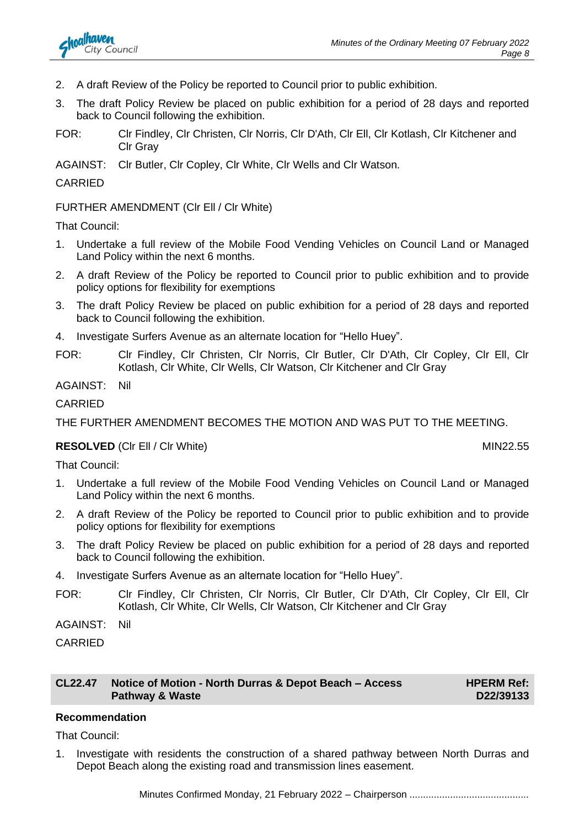

- 2. A draft Review of the Policy be reported to Council prior to public exhibition.
- 3. The draft Policy Review be placed on public exhibition for a period of 28 days and reported back to Council following the exhibition.
- FOR: Clr Findley, Clr Christen, Clr Norris, Clr D'Ath, Clr Ell, Clr Kotlash, Clr Kitchener and Clr Gray
- AGAINST: Clr Butler, Clr Copley, Clr White, Clr Wells and Clr Watson.

#### CARRIED

#### FURTHER AMENDMENT (Clr Ell / Clr White)

That Council:

- 1. Undertake a full review of the Mobile Food Vending Vehicles on Council Land or Managed Land Policy within the next 6 months.
- 2. A draft Review of the Policy be reported to Council prior to public exhibition and to provide policy options for flexibility for exemptions
- 3. The draft Policy Review be placed on public exhibition for a period of 28 days and reported back to Council following the exhibition.
- 4. Investigate Surfers Avenue as an alternate location for "Hello Huey".
- FOR: Clr Findley, Clr Christen, Clr Norris, Clr Butler, Clr D'Ath, Clr Copley, Clr Ell, Clr Kotlash, Clr White, Clr Wells, Clr Watson, Clr Kitchener and Clr Gray

AGAINST: Nil

#### **CARRIED**

THE FURTHER AMENDMENT BECOMES THE MOTION AND WAS PUT TO THE MEETING.

#### **RESOLVED** (CIr Ell / CIr White) MIN22.55

That Council:

- 1. Undertake a full review of the Mobile Food Vending Vehicles on Council Land or Managed Land Policy within the next 6 months.
- 2. A draft Review of the Policy be reported to Council prior to public exhibition and to provide policy options for flexibility for exemptions
- 3. The draft Policy Review be placed on public exhibition for a period of 28 days and reported back to Council following the exhibition.
- 4. Investigate Surfers Avenue as an alternate location for "Hello Huey".
- FOR: Clr Findley, Clr Christen, Clr Norris, Clr Butler, Clr D'Ath, Clr Copley, Clr Ell, Clr Kotlash, Clr White, Clr Wells, Clr Watson, Clr Kitchener and Clr Gray

AGAINST: Nil

CARRIED

| CL22.47 Notice of Motion - North Durras & Depot Beach - Access |  |
|----------------------------------------------------------------|--|
| Pathway & Waste                                                |  |

**HPERM Ref: D22/39133**

#### **Recommendation**

That Council:

1. Investigate with residents the construction of a shared pathway between North Durras and Depot Beach along the existing road and transmission lines easement.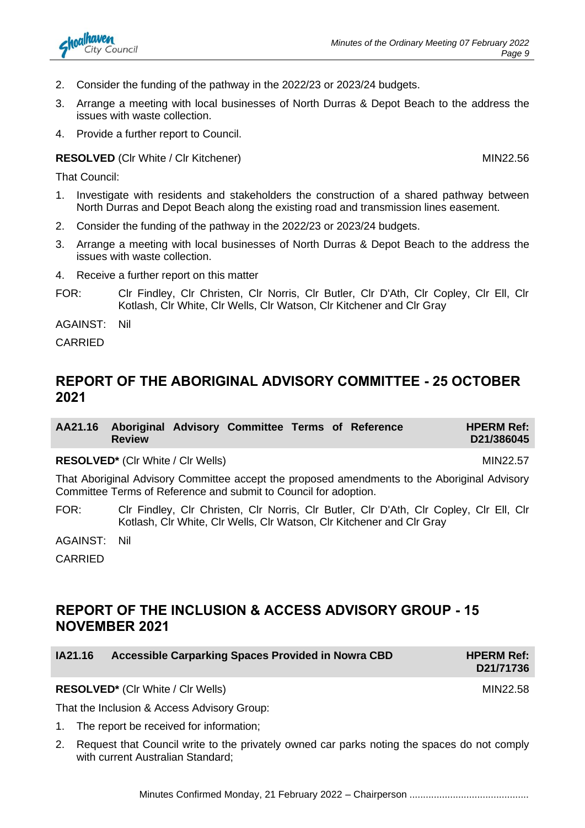- 2. Consider the funding of the pathway in the 2022/23 or 2023/24 budgets.
- 3. Arrange a meeting with local businesses of North Durras & Depot Beach to the address the issues with waste collection.
- 4. Provide a further report to Council.

**RESOLVED** (CIr White / CIr Kitchener) MIN22.56

That Council:

- 1. Investigate with residents and stakeholders the construction of a shared pathway between North Durras and Depot Beach along the existing road and transmission lines easement.
- 2. Consider the funding of the pathway in the 2022/23 or 2023/24 budgets.
- 3. Arrange a meeting with local businesses of North Durras & Depot Beach to the address the issues with waste collection.
- 4. Receive a further report on this matter
- FOR: Clr Findley, Clr Christen, Clr Norris, Clr Butler, Clr D'Ath, Clr Copley, Clr Ell, Clr Kotlash, Clr White, Clr Wells, Clr Watson, Clr Kitchener and Clr Gray

AGAINST: Nil

CARRIED

# **REPORT OF THE ABORIGINAL ADVISORY COMMITTEE - 25 OCTOBER 2021**

|               | AA21.16 Aboriginal Advisory Committee Terms of Reference |  | <b>HPERM Ref:</b> |
|---------------|----------------------------------------------------------|--|-------------------|
| <b>Review</b> |                                                          |  | D21/386045        |

**RESOLVED\*** (CIr White / CIr Wells) MIN22.57

That Aboriginal Advisory Committee accept the proposed amendments to the Aboriginal Advisory Committee Terms of Reference and submit to Council for adoption.

FOR: Clr Findley, Clr Christen, Clr Norris, Clr Butler, Clr D'Ath, Clr Copley, Clr Ell, Clr Kotlash, Clr White, Clr Wells, Clr Watson, Clr Kitchener and Clr Gray

AGAINST: Nil

CARRIED

# **REPORT OF THE INCLUSION & ACCESS ADVISORY GROUP - 15 NOVEMBER 2021**

| IA21.16 | Accessible Carparking Spaces Provided in Nowra CBD | <b>HPERM Ref:</b><br>D21/71736 |
|---------|----------------------------------------------------|--------------------------------|
|         | <b>RESOLVED*</b> (CIr White / CIr Wells)           | MIN22.58                       |

That the Inclusion & Access Advisory Group:

- 1. The report be received for information;
- 2. Request that Council write to the privately owned car parks noting the spaces do not comply with current Australian Standard;

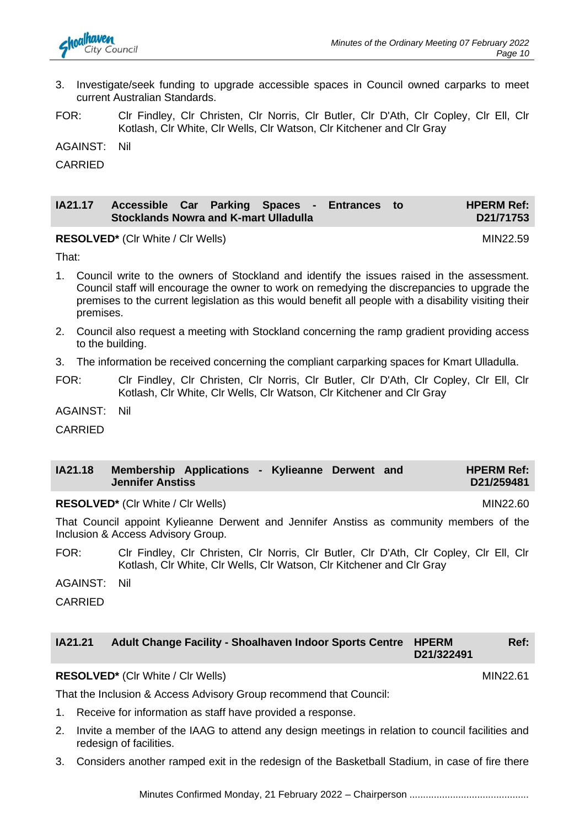

- 3. Investigate/seek funding to upgrade accessible spaces in Council owned carparks to meet current Australian Standards.
- FOR: Clr Findley, Clr Christen, Clr Norris, Clr Butler, Clr D'Ath, Clr Copley, Clr Ell, Clr Kotlash, Clr White, Clr Wells, Clr Watson, Clr Kitchener and Clr Gray

AGAINST: Nil

CARRIED

| IA21.17 Accessible Car Parking Spaces - Entrances to |  |  |  | <b>HPERM Ref:</b> |
|------------------------------------------------------|--|--|--|-------------------|
| Stocklands Nowra and K-mart Ulladulla                |  |  |  | D21/71753         |

**RESOLVED<sup>\*</sup>** (CIr White / CIr Wells) MIN22.59

That:

- 1. Council write to the owners of Stockland and identify the issues raised in the assessment. Council staff will encourage the owner to work on remedying the discrepancies to upgrade the premises to the current legislation as this would benefit all people with a disability visiting their premises.
- 2. Council also request a meeting with Stockland concerning the ramp gradient providing access to the building.
- 3. The information be received concerning the compliant carparking spaces for Kmart Ulladulla.
- FOR: Clr Findley, Clr Christen, Clr Norris, Clr Butler, Clr D'Ath, Clr Copley, Clr Ell, Clr Kotlash, Clr White, Clr Wells, Clr Watson, Clr Kitchener and Clr Gray

AGAINST: Nil

CARRIED

| <b>IA21.18</b> | Membership Applications - Kylieanne Derwent and |  |  | <b>HPERM Ref:</b> |
|----------------|-------------------------------------------------|--|--|-------------------|
|                | <b>√Jennifer Anstiss</b>                        |  |  | D21/259481        |

**RESOLVED\*** (CIr White / CIr Wells) MIN22.60

That Council appoint Kylieanne Derwent and Jennifer Anstiss as community members of the Inclusion & Access Advisory Group.

FOR: Clr Findley, Clr Christen, Clr Norris, Clr Butler, Clr D'Ath, Clr Copley, Clr Ell, Clr Kotlash, Clr White, Clr Wells, Clr Watson, Clr Kitchener and Clr Gray

AGAINST: Nil

CARRIED

| IA21.21 | <b>Adult Change Facility - Shoalhaven Indoor Sports Centre HPERM</b> |            | Ref: |
|---------|----------------------------------------------------------------------|------------|------|
|         |                                                                      | D21/322491 |      |

**RESOLVED\*** (CIr White / CIr Wells) MIN22.61

That the Inclusion & Access Advisory Group recommend that Council:

- 1. Receive for information as staff have provided a response.
- 2. Invite a member of the IAAG to attend any design meetings in relation to council facilities and redesign of facilities.
- 3. Considers another ramped exit in the redesign of the Basketball Stadium, in case of fire there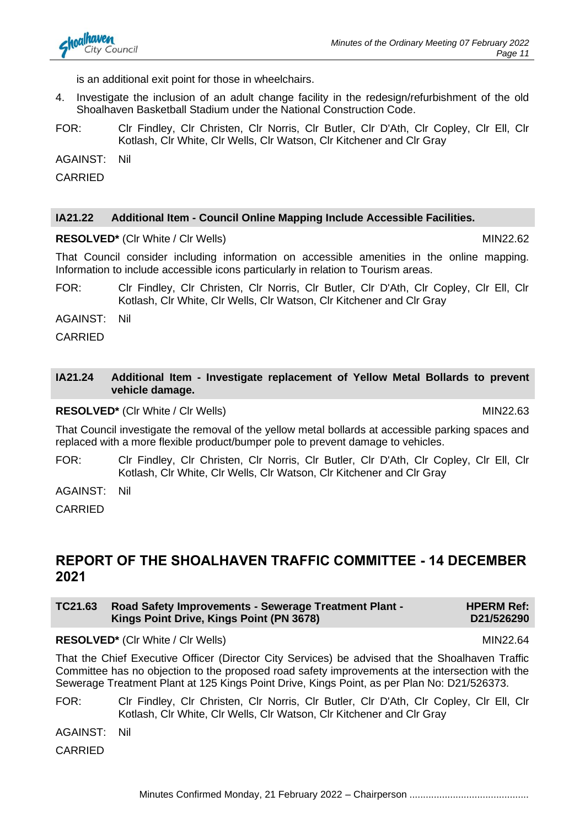is an additional exit point for those in wheelchairs.

- 4. Investigate the inclusion of an adult change facility in the redesign/refurbishment of the old Shoalhaven Basketball Stadium under the National Construction Code.
- FOR: Clr Findley, Clr Christen, Clr Norris, Clr Butler, Clr D'Ath, Clr Copley, Clr Ell, Clr Kotlash, Clr White, Clr Wells, Clr Watson, Clr Kitchener and Clr Gray

AGAINST: Nil

CARRIED

#### **IA21.22 Additional Item - Council Online Mapping Include Accessible Facilities.**

**RESOLVED\*** (CIr White / CIr Wells) MIN22.62

That Council consider including information on accessible amenities in the online mapping. Information to include accessible icons particularly in relation to Tourism areas.

FOR: Clr Findley, Clr Christen, Clr Norris, Clr Butler, Clr D'Ath, Clr Copley, Clr Ell, Clr Kotlash, Clr White, Clr Wells, Clr Watson, Clr Kitchener and Clr Gray

AGAINST: Nil

CARRIED

#### **IA21.24 Additional Item - Investigate replacement of Yellow Metal Bollards to prevent vehicle damage.**

**RESOLVED\*** (CIr White / CIr Wells) MIN22.63

That Council investigate the removal of the yellow metal bollards at accessible parking spaces and replaced with a more flexible product/bumper pole to prevent damage to vehicles.

FOR: Clr Findley, Clr Christen, Clr Norris, Clr Butler, Clr D'Ath, Clr Copley, Clr Ell, Clr Kotlash, Clr White, Clr Wells, Clr Watson, Clr Kitchener and Clr Gray

AGAINST: Nil

CARRIED

# **REPORT OF THE SHOALHAVEN TRAFFIC COMMITTEE - 14 DECEMBER 2021**

| TC21.63 | <b>Road Safety Improvements - Sewerage Treatment Plant -</b> | <b>HPERM Ref:</b> |
|---------|--------------------------------------------------------------|-------------------|
|         | Kings Point Drive, Kings Point (PN 3678)                     | D21/526290        |

#### **RESOLVED<sup>\*</sup>** (Clr White / Clr Wells) MIN22.64

That the Chief Executive Officer (Director City Services) be advised that the Shoalhaven Traffic Committee has no objection to the proposed road safety improvements at the intersection with the Sewerage Treatment Plant at 125 Kings Point Drive, Kings Point, as per Plan No: D21/526373.

FOR: Clr Findley, Clr Christen, Clr Norris, Clr Butler, Clr D'Ath, Clr Copley, Clr Ell, Clr Kotlash, Clr White, Clr Wells, Clr Watson, Clr Kitchener and Clr Gray

AGAINST: Nil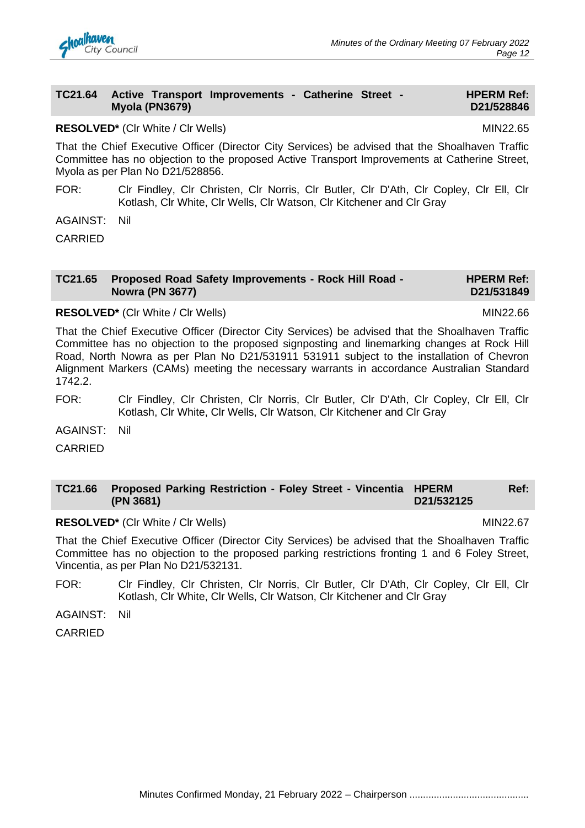# **TC21.65 Proposed Road Safety Improvements - Rock Hill Road - Nowra (PN 3677)**

#### **RESOLVED\*** (CIr White / CIr Wells) MIN22.66

That the Chief Executive Officer (Director City Services) be advised that the Shoalhaven Traffic Committee has no objection to the proposed signposting and linemarking changes at Rock Hill Road, North Nowra as per Plan No D21/531911 531911 subject to the installation of Chevron Alignment Markers (CAMs) meeting the necessary warrants in accordance Australian Standard 1742.2.

- FOR: Clr Findley, Clr Christen, Clr Norris, Clr Butler, Clr D'Ath, Clr Copley, Clr Ell, Clr Kotlash, Clr White, Clr Wells, Clr Watson, Clr Kitchener and Clr Gray
- AGAINST: Nil
- CARRIED

#### **TC21.66 Proposed Parking Restriction - Foley Street - Vincentia HPERM Ref: (PN 3681) D21/532125**

**RESOLVED\*** (CIr White / CIr Wells) MIN22.67

That the Chief Executive Officer (Director City Services) be advised that the Shoalhaven Traffic Committee has no objection to the proposed parking restrictions fronting 1 and 6 Foley Street, Vincentia, as per Plan No D21/532131.

FOR: Clr Findley, Clr Christen, Clr Norris, Clr Butler, Clr D'Ath, Clr Copley, Clr Ell, Clr Kotlash, Clr White, Clr Wells, Clr Watson, Clr Kitchener and Clr Gray

AGAINST: Nil

CARRIED

**TC21.64 Active Transport Improvements - Catherine Street -**

## **RESOLVED\*** (CIr White / CIr Wells) MIN22.65

**Myola (PN3679)**

That the Chief Executive Officer (Director City Services) be advised that the Shoalhaven Traffic Committee has no objection to the proposed Active Transport Improvements at Catherine Street, Myola as per Plan No D21/528856.

FOR: Clr Findley, Clr Christen, Clr Norris, Clr Butler, Clr D'Ath, Clr Copley, Clr Ell, Clr Kotlash, Clr White, Clr Wells, Clr Watson, Clr Kitchener and Clr Gray

AGAINST: Nil

CARRIED



#### **HPERM Ref: D21/531849**

**HPERM Ref: D21/528846**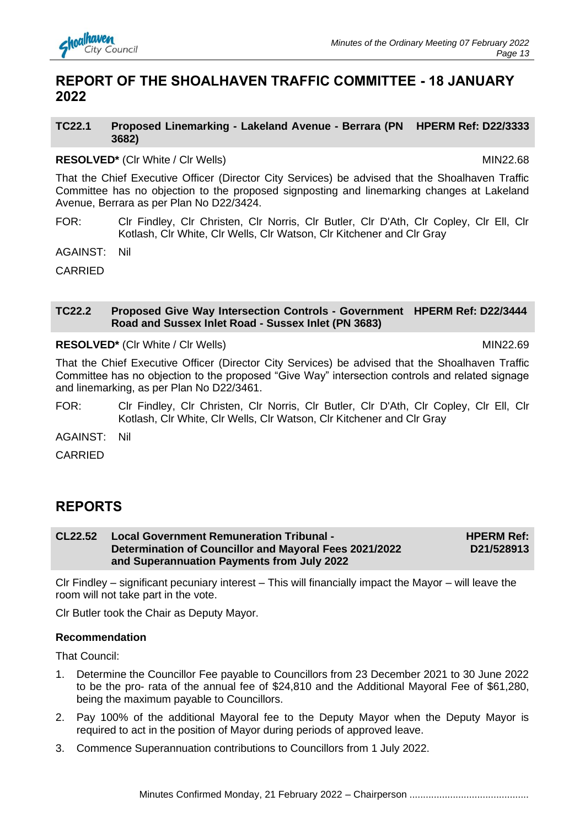

# **REPORT OF THE SHOALHAVEN TRAFFIC COMMITTEE - 18 JANUARY 2022**

#### **TC22.1 Proposed Linemarking - Lakeland Avenue - Berrara (PN HPERM Ref: D22/3333 3682)**

#### **RESOLVED\*** (CIr White / CIr Wells) MIN22.68

That the Chief Executive Officer (Director City Services) be advised that the Shoalhaven Traffic Committee has no objection to the proposed signposting and linemarking changes at Lakeland Avenue, Berrara as per Plan No D22/3424.

FOR: Clr Findley, Clr Christen, Clr Norris, Clr Butler, Clr D'Ath, Clr Copley, Clr Ell, Clr Kotlash, Clr White, Clr Wells, Clr Watson, Clr Kitchener and Clr Gray

AGAINST: Nil

CARRIED

#### **TC22.2 Proposed Give Way Intersection Controls - Government HPERM Ref: D22/3444 Road and Sussex Inlet Road - Sussex Inlet (PN 3683)**

**RESOLVED<sup>\*</sup>** (Clr White / Clr Wells) MIN22.69

That the Chief Executive Officer (Director City Services) be advised that the Shoalhaven Traffic Committee has no objection to the proposed "Give Way" intersection controls and related signage and linemarking, as per Plan No D22/3461.

FOR: Clr Findley, Clr Christen, Clr Norris, Clr Butler, Clr D'Ath, Clr Copley, Clr Ell, Clr Kotlash, Clr White, Clr Wells, Clr Watson, Clr Kitchener and Clr Gray

AGAINST: Nil

CARRIED

# **REPORTS**

#### **CL22.52 Local Government Remuneration Tribunal - Determination of Councillor and Mayoral Fees 2021/2022 and Superannuation Payments from July 2022 HPERM Ref: D21/528913**

Clr Findley – significant pecuniary interest – This will financially impact the Mayor – will leave the room will not take part in the vote.

Clr Butler took the Chair as Deputy Mayor.

#### **Recommendation**

- 1. Determine the Councillor Fee payable to Councillors from 23 December 2021 to 30 June 2022 to be the pro- rata of the annual fee of \$24,810 and the Additional Mayoral Fee of \$61,280, being the maximum payable to Councillors.
- 2. Pay 100% of the additional Mayoral fee to the Deputy Mayor when the Deputy Mayor is required to act in the position of Mayor during periods of approved leave.
- 3. Commence Superannuation contributions to Councillors from 1 July 2022.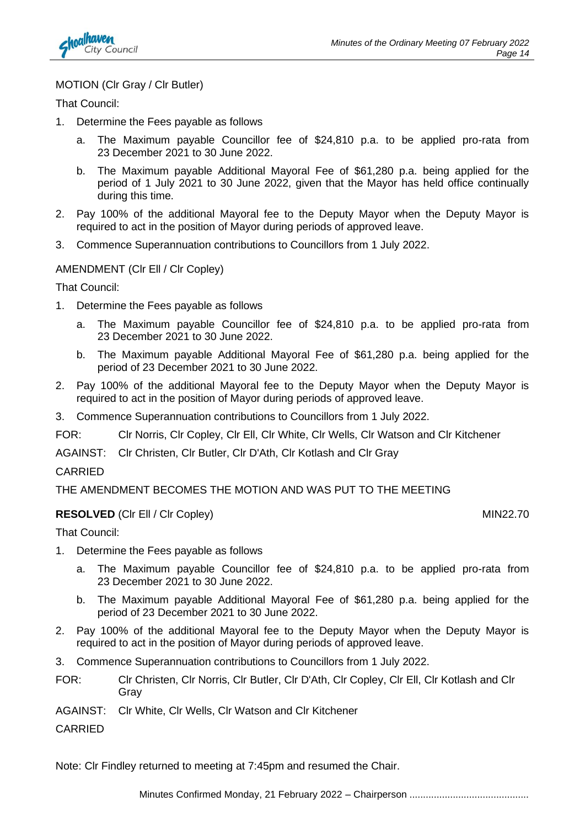

#### MOTION (Clr Gray / Clr Butler)

That Council:

- 1. Determine the Fees payable as follows
	- a. The Maximum payable Councillor fee of \$24,810 p.a. to be applied pro-rata from 23 December 2021 to 30 June 2022.
	- b. The Maximum payable Additional Mayoral Fee of \$61,280 p.a. being applied for the period of 1 July 2021 to 30 June 2022, given that the Mayor has held office continually during this time.
- 2. Pay 100% of the additional Mayoral fee to the Deputy Mayor when the Deputy Mayor is required to act in the position of Mayor during periods of approved leave.
- 3. Commence Superannuation contributions to Councillors from 1 July 2022.

#### AMENDMENT (Clr Ell / Clr Copley)

That Council:

- 1. Determine the Fees payable as follows
	- a. The Maximum payable Councillor fee of \$24,810 p.a. to be applied pro-rata from 23 December 2021 to 30 June 2022.
	- b. The Maximum payable Additional Mayoral Fee of \$61,280 p.a. being applied for the period of 23 December 2021 to 30 June 2022.
- 2. Pay 100% of the additional Mayoral fee to the Deputy Mayor when the Deputy Mayor is required to act in the position of Mayor during periods of approved leave.
- 3. Commence Superannuation contributions to Councillors from 1 July 2022.
- FOR: Clr Norris, Clr Copley, Clr Ell, Clr White, Clr Wells, Clr Watson and Clr Kitchener

AGAINST: Clr Christen, Clr Butler, Clr D'Ath, Clr Kotlash and Clr Gray

#### CARRIED

THE AMENDMENT BECOMES THE MOTION AND WAS PUT TO THE MEETING

#### **RESOLVED** (CIr Ell / Cir Copley) MIN22.70

That Council:

- 1. Determine the Fees payable as follows
	- a. The Maximum payable Councillor fee of \$24,810 p.a. to be applied pro-rata from 23 December 2021 to 30 June 2022.
	- b. The Maximum payable Additional Mayoral Fee of \$61,280 p.a. being applied for the period of 23 December 2021 to 30 June 2022.
- 2. Pay 100% of the additional Mayoral fee to the Deputy Mayor when the Deputy Mayor is required to act in the position of Mayor during periods of approved leave.
- 3. Commence Superannuation contributions to Councillors from 1 July 2022.
- FOR: Clr Christen, Clr Norris, Clr Butler, Clr D'Ath, Clr Copley, Clr Ell, Clr Kotlash and Clr Gray
- AGAINST: Clr White, Clr Wells, Clr Watson and Clr Kitchener

**CARRIED** 

Note: Clr Findley returned to meeting at 7:45pm and resumed the Chair.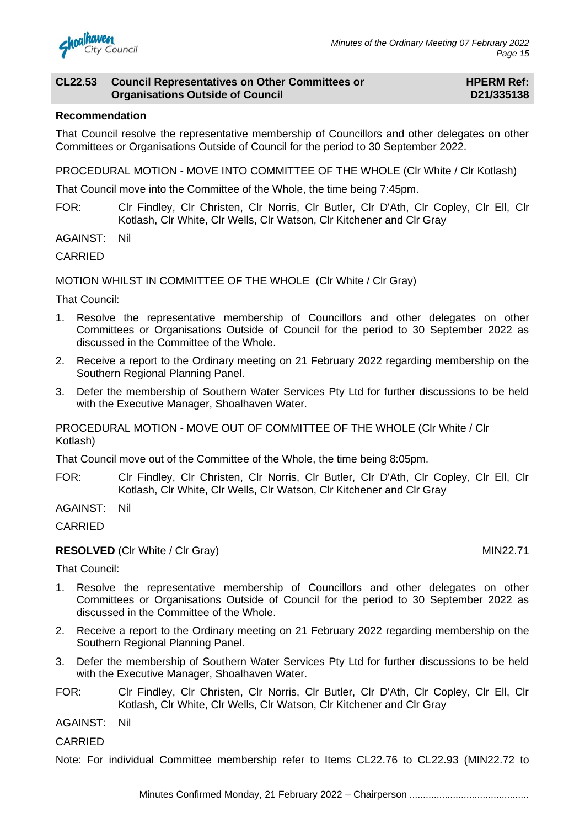

#### **CL22.53 Council Representatives on Other Committees or Organisations Outside of Council**

#### **HPERM Ref: D21/335138**

#### **Recommendation**

That Council resolve the representative membership of Councillors and other delegates on other Committees or Organisations Outside of Council for the period to 30 September 2022.

PROCEDURAL MOTION - MOVE INTO COMMITTEE OF THE WHOLE (Clr White / Clr Kotlash)

That Council move into the Committee of the Whole, the time being 7:45pm.

FOR: Clr Findley, Clr Christen, Clr Norris, Clr Butler, Clr D'Ath, Clr Copley, Clr Ell, Clr Kotlash, Clr White, Clr Wells, Clr Watson, Clr Kitchener and Clr Gray

AGAINST: Nil

CARRIED

MOTION WHILST IN COMMITTEE OF THE WHOLE (Clr White / Clr Gray)

That Council:

- 1. Resolve the representative membership of Councillors and other delegates on other Committees or Organisations Outside of Council for the period to 30 September 2022 as discussed in the Committee of the Whole.
- 2. Receive a report to the Ordinary meeting on 21 February 2022 regarding membership on the Southern Regional Planning Panel.
- 3. Defer the membership of Southern Water Services Pty Ltd for further discussions to be held with the Executive Manager, Shoalhaven Water.

PROCEDURAL MOTION - MOVE OUT OF COMMITTEE OF THE WHOLE (Clr White / Clr Kotlash)

That Council move out of the Committee of the Whole, the time being 8:05pm.

FOR: Clr Findley, Clr Christen, Clr Norris, Clr Butler, Clr D'Ath, Clr Copley, Clr Ell, Clr Kotlash, Clr White, Clr Wells, Clr Watson, Clr Kitchener and Clr Gray

AGAINST: Nil

CARRIED

#### **RESOLVED** (CIr White / CIr Gray) MIN22.71

That Council:

- 1. Resolve the representative membership of Councillors and other delegates on other Committees or Organisations Outside of Council for the period to 30 September 2022 as discussed in the Committee of the Whole.
- 2. Receive a report to the Ordinary meeting on 21 February 2022 regarding membership on the Southern Regional Planning Panel.
- 3. Defer the membership of Southern Water Services Pty Ltd for further discussions to be held with the Executive Manager, Shoalhaven Water.
- FOR: Clr Findley, Clr Christen, Clr Norris, Clr Butler, Clr D'Ath, Clr Copley, Clr Ell, Clr Kotlash, Clr White, Clr Wells, Clr Watson, Clr Kitchener and Clr Gray

AGAINST: Nil

CARRIED

Note: For individual Committee membership refer to Items CL22.76 to CL22.93 (MIN22.72 to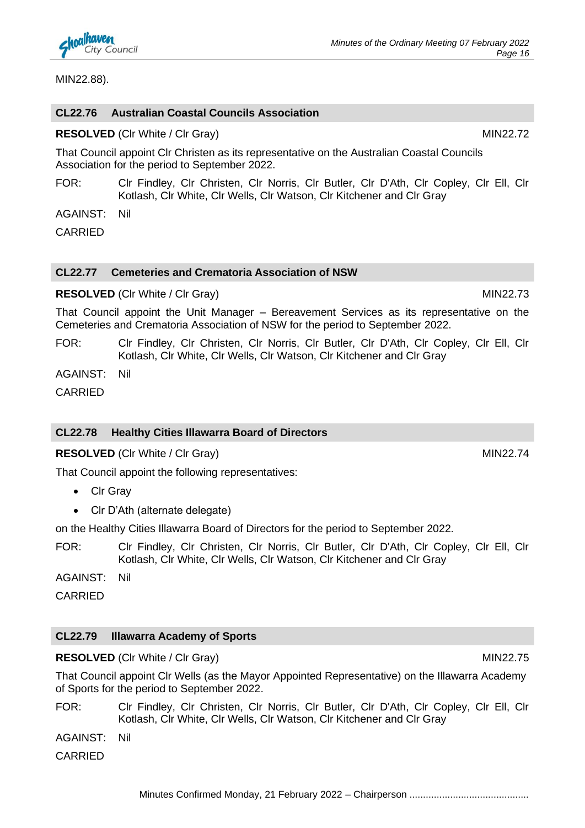

MIN22.88).

#### **CL22.76 Australian Coastal Councils Association**

**RESOLVED** (CIr White / CIr Gray) MIN22.72

That Council appoint Clr Christen as its representative on the Australian Coastal Councils Association for the period to September 2022.

FOR: Clr Findley, Clr Christen, Clr Norris, Clr Butler, Clr D'Ath, Clr Copley, Clr Ell, Clr Kotlash, Clr White, Clr Wells, Clr Watson, Clr Kitchener and Clr Gray

AGAINST: Nil

CARRIED

#### **CL22.77 Cemeteries and Crematoria Association of NSW**

#### **RESOLVED** (Clr White / Clr Gray) MIN22.73

That Council appoint the Unit Manager – Bereavement Services as its representative on the Cemeteries and Crematoria Association of NSW for the period to September 2022.

FOR: Clr Findley, Clr Christen, Clr Norris, Clr Butler, Clr D'Ath, Clr Copley, Clr Ell, Clr Kotlash, Clr White, Clr Wells, Clr Watson, Clr Kitchener and Clr Gray

AGAINST: Nil

CARRIED

#### **CL22.78 Healthy Cities Illawarra Board of Directors**

**RESOLVED** (Clr White / Clr Gray) MIN22.74

That Council appoint the following representatives:

- Clr Gray
- Clr D'Ath (alternate delegate)

on the Healthy Cities Illawarra Board of Directors for the period to September 2022.

FOR: Clr Findley, Clr Christen, Clr Norris, Clr Butler, Clr D'Ath, Clr Copley, Clr Ell, Clr Kotlash, Clr White, Clr Wells, Clr Watson, Clr Kitchener and Clr Gray

AGAINST: Nil

**CARRIED** 

## **CL22.79 Illawarra Academy of Sports**

**RESOLVED** (Clr White / Clr Gray) MIN22.75

That Council appoint Clr Wells (as the Mayor Appointed Representative) on the Illawarra Academy of Sports for the period to September 2022.

FOR: Clr Findley, Clr Christen, Clr Norris, Clr Butler, Clr D'Ath, Clr Copley, Clr Ell, Clr Kotlash, Clr White, Clr Wells, Clr Watson, Clr Kitchener and Clr Gray

AGAINST: Nil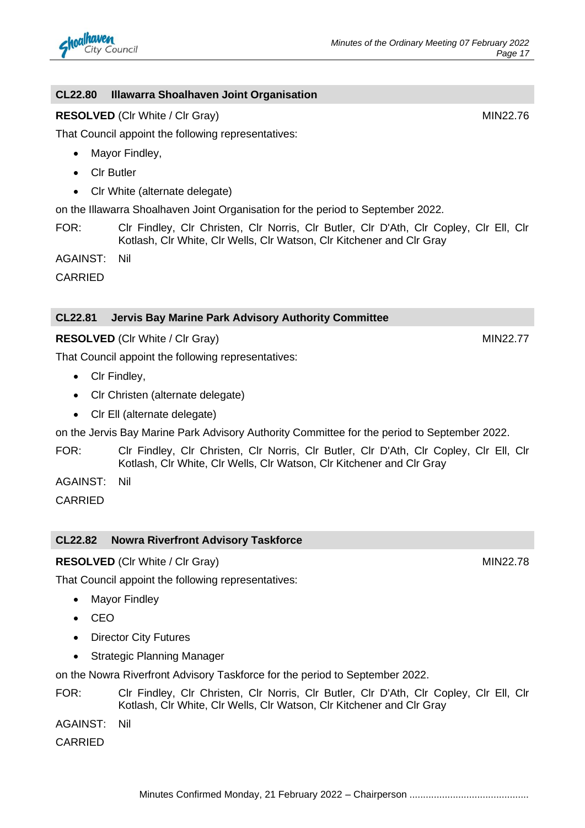## **CL22.80 Illawarra Shoalhaven Joint Organisation**

#### **RESOLVED** (CIr White / CIr Gray) MIN22.76

That Council appoint the following representatives:

- Mayor Findley,
- Clr Butler
- Clr White (alternate delegate)

on the Illawarra Shoalhaven Joint Organisation for the period to September 2022.

FOR: Clr Findley, Clr Christen, Clr Norris, Clr Butler, Clr D'Ath, Clr Copley, Clr Ell, Clr Kotlash, Clr White, Clr Wells, Clr Watson, Clr Kitchener and Clr Gray

AGAINST: Nil

CARRIED

#### **CL22.81 Jervis Bay Marine Park Advisory Authority Committee**

#### **RESOLVED** (CIr White / CIr Gray) MIN22.77

That Council appoint the following representatives:

- Clr Findley,
- Clr Christen (alternate delegate)
- Clr Ell (alternate delegate)

on the Jervis Bay Marine Park Advisory Authority Committee for the period to September 2022.

FOR: Clr Findley, Clr Christen, Clr Norris, Clr Butler, Clr D'Ath, Clr Copley, Clr Ell, Clr Kotlash, Clr White, Clr Wells, Clr Watson, Clr Kitchener and Clr Gray

AGAINST: Nil

CARRIED

#### **CL22.82 Nowra Riverfront Advisory Taskforce**

#### **RESOLVED** (CIr White / CIr Gray) MIN22.78

That Council appoint the following representatives:

- Mayor Findley
- CEO
- Director City Futures
- Strategic Planning Manager

on the Nowra Riverfront Advisory Taskforce for the period to September 2022.

FOR: Clr Findley, Clr Christen, Clr Norris, Clr Butler, Clr D'Ath, Clr Copley, Clr Ell, Clr Kotlash, Clr White, Clr Wells, Clr Watson, Clr Kitchener and Clr Gray

AGAINST: Nil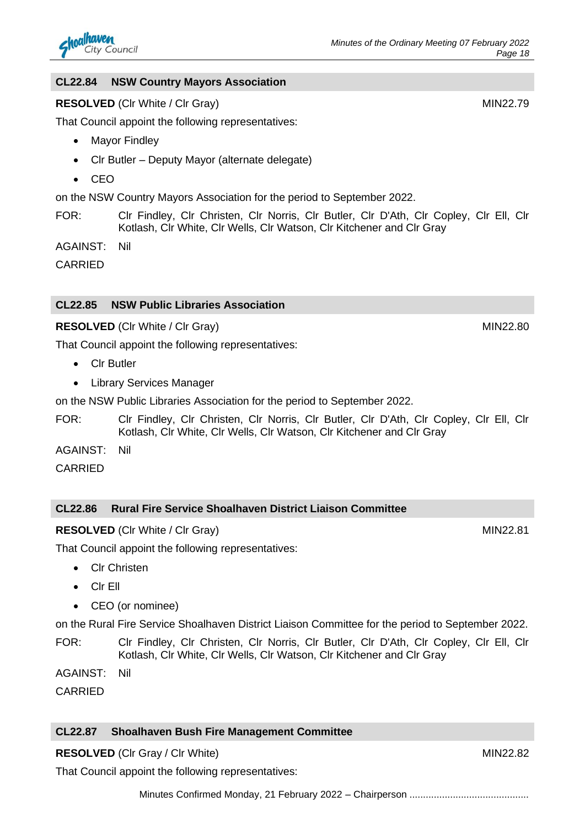#### **CL22.84 NSW Country Mayors Association**

#### **RESOLVED** (CIr White / CIr Gray) MIN22.79

That Council appoint the following representatives:

- Mayor Findley
- Clr Butler Deputy Mayor (alternate delegate)
- CEO

on the NSW Country Mayors Association for the period to September 2022.

FOR: Clr Findley, Clr Christen, Clr Norris, Clr Butler, Clr D'Ath, Clr Copley, Clr Ell, Clr Kotlash, Clr White, Clr Wells, Clr Watson, Clr Kitchener and Clr Gray

AGAINST: Nil

CARRIED

#### **CL22.85 NSW Public Libraries Association**

#### **RESOLVED** (CIr White / CIr Gray) MIN22.80

That Council appoint the following representatives:

- Clr Butler
- Library Services Manager

on the NSW Public Libraries Association for the period to September 2022.

- FOR: Clr Findley, Clr Christen, Clr Norris, Clr Butler, Clr D'Ath, Clr Copley, Clr Ell, Clr Kotlash, Clr White, Clr Wells, Clr Watson, Clr Kitchener and Clr Gray
- AGAINST: Nil

CARRIED

#### **CL22.86 Rural Fire Service Shoalhaven District Liaison Committee**

#### **RESOLVED** (CIr White / CIr Gray) MIN22.81

That Council appoint the following representatives:

- Clr Christen
- Clr Ell
- CEO (or nominee)

on the Rural Fire Service Shoalhaven District Liaison Committee for the period to September 2022.

- FOR: Clr Findley, Clr Christen, Clr Norris, Clr Butler, Clr D'Ath, Clr Copley, Clr Ell, Clr Kotlash, Clr White, Clr Wells, Clr Watson, Clr Kitchener and Clr Gray
- AGAINST: Nil

CARRIED

#### **CL22.87 Shoalhaven Bush Fire Management Committee**

**RESOLVED** (Clr Gray / Clr White) MIN22.82

That Council appoint the following representatives: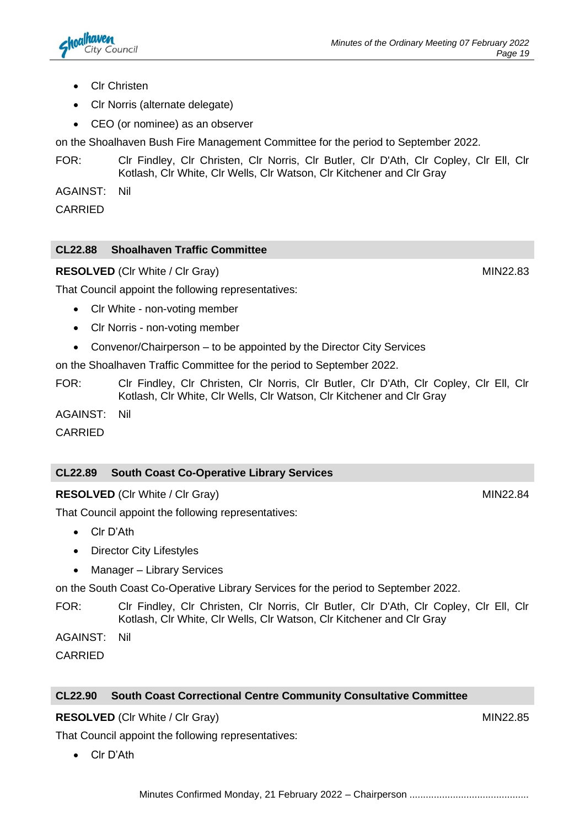- Clr Christen
- Clr Norris (alternate delegate)
- CEO (or nominee) as an observer

on the Shoalhaven Bush Fire Management Committee for the period to September 2022.

FOR: Clr Findley, Clr Christen, Clr Norris, Clr Butler, Clr D'Ath, Clr Copley, Clr Ell, Clr Kotlash, Clr White, Clr Wells, Clr Watson, Clr Kitchener and Clr Gray

AGAINST: Nil

CARRIED

### **CL22.88 Shoalhaven Traffic Committee**

**RESOLVED** (Clr White / Clr Gray) MIN22.83

That Council appoint the following representatives:

- Clr White non-voting member
- Clr Norris non-voting member
- Convenor/Chairperson to be appointed by the Director City Services

on the Shoalhaven Traffic Committee for the period to September 2022.

FOR: Clr Findley, Clr Christen, Clr Norris, Clr Butler, Clr D'Ath, Clr Copley, Clr Ell, Clr Kotlash, Clr White, Clr Wells, Clr Watson, Clr Kitchener and Clr Gray

AGAINST: Nil

CARRIED

## **CL22.89 South Coast Co-Operative Library Services**

**RESOLVED** (CIr White / CIr Gray) MIN22.84

That Council appoint the following representatives:

- Clr D'Ath
- Director City Lifestyles
- Manager Library Services

on the South Coast Co-Operative Library Services for the period to September 2022.

FOR: Clr Findley, Clr Christen, Clr Norris, Clr Butler, Clr D'Ath, Clr Copley, Clr Ell, Clr Kotlash, Clr White, Clr Wells, Clr Watson, Clr Kitchener and Clr Gray

AGAINST: Nil

CARRIED

#### **CL22.90 South Coast Correctional Centre Community Consultative Committee**

#### **RESOLVED** (CIr White / CIr Gray) MIN22.85

That Council appoint the following representatives:

• Clr D'Ath

Minutes Confirmed Monday, 21 February 2022 – Chairperson ............................................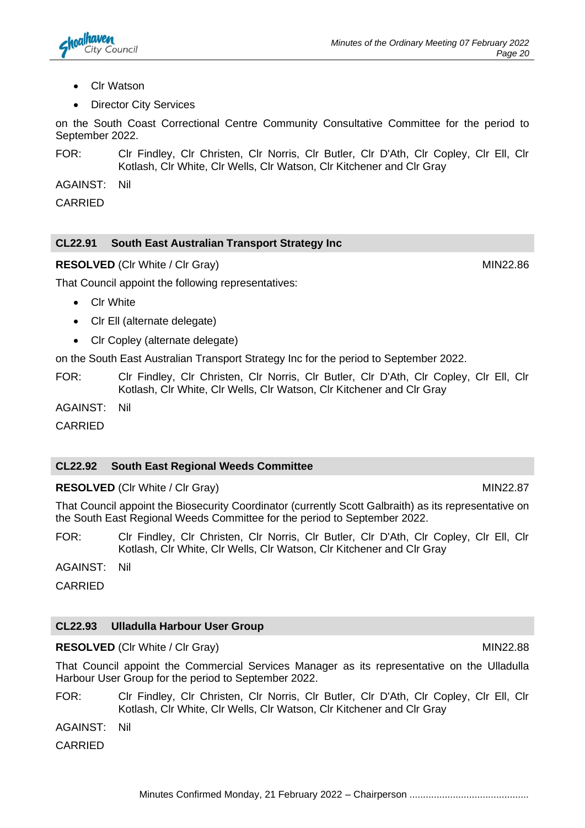- Clr Watson
- **Director City Services**

on the South Coast Correctional Centre Community Consultative Committee for the period to September 2022.

FOR: Clr Findley, Clr Christen, Clr Norris, Clr Butler, Clr D'Ath, Clr Copley, Clr Ell, Clr Kotlash, Clr White, Clr Wells, Clr Watson, Clr Kitchener and Clr Gray

AGAINST: Nil

CARRIED

#### **CL22.91 South East Australian Transport Strategy Inc**

**RESOLVED** (CIr White / CIr Gray) MIN22.86

That Council appoint the following representatives:

- Clr White
- Clr Ell (alternate delegate)
- Clr Copley (alternate delegate)

on the South East Australian Transport Strategy Inc for the period to September 2022.

FOR: Clr Findley, Clr Christen, Clr Norris, Clr Butler, Clr D'Ath, Clr Copley, Clr Ell, Clr Kotlash, Clr White, Clr Wells, Clr Watson, Clr Kitchener and Clr Gray

AGAINST: Nil

CARRIED

#### **CL22.92 South East Regional Weeds Committee**

**RESOLVED** (CIr White / CIr Gray) MIN22.87

That Council appoint the Biosecurity Coordinator (currently Scott Galbraith) as its representative on the South East Regional Weeds Committee for the period to September 2022.

FOR: Clr Findley, Clr Christen, Clr Norris, Clr Butler, Clr D'Ath, Clr Copley, Clr Ell, Clr Kotlash, Clr White, Clr Wells, Clr Watson, Clr Kitchener and Clr Gray

AGAINST: Nil

CARRIED

## **CL22.93 Ulladulla Harbour User Group**

**RESOLVED** (Clr White / Clr Gray) MIN22.88

That Council appoint the Commercial Services Manager as its representative on the Ulladulla Harbour User Group for the period to September 2022.

FOR: Clr Findley, Clr Christen, Clr Norris, Clr Butler, Clr D'Ath, Clr Copley, Clr Ell, Clr Kotlash, Clr White, Clr Wells, Clr Watson, Clr Kitchener and Clr Gray

AGAINST: Nil

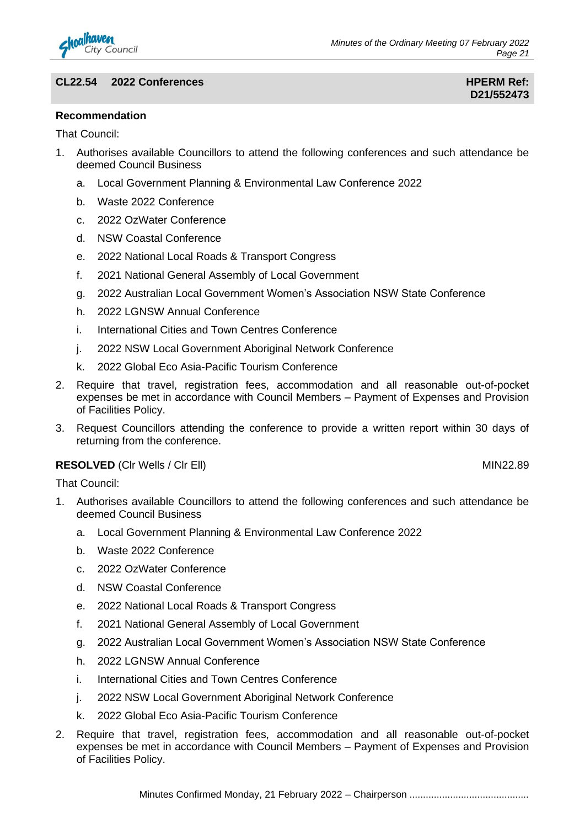

#### **CL22.54 2022 Conferences HPERM Ref:**

#### **Recommendation**

That Council:

- 1. Authorises available Councillors to attend the following conferences and such attendance be deemed Council Business
	- a. Local Government Planning & Environmental Law Conference 2022
	- b. Waste 2022 Conference
	- c. 2022 OzWater Conference
	- d. NSW Coastal Conference
	- e. 2022 National Local Roads & Transport Congress
	- f. 2021 National General Assembly of Local Government
	- g. 2022 Australian Local Government Women's Association NSW State Conference
	- h. 2022 LGNSW Annual Conference
	- i. International Cities and Town Centres Conference
	- j. 2022 NSW Local Government Aboriginal Network Conference
	- k. 2022 Global Eco Asia-Pacific Tourism Conference
- 2. Require that travel, registration fees, accommodation and all reasonable out-of-pocket expenses be met in accordance with Council Members – Payment of Expenses and Provision of Facilities Policy.
- 3. Request Councillors attending the conference to provide a written report within 30 days of returning from the conference.

#### **RESOLVED** (CIr Wells / CIr Ell) MIN22.89

- 1. Authorises available Councillors to attend the following conferences and such attendance be deemed Council Business
	- a. Local Government Planning & Environmental Law Conference 2022
	- b. Waste 2022 Conference
	- c. 2022 OzWater Conference
	- d. NSW Coastal Conference
	- e. 2022 National Local Roads & Transport Congress
	- f. 2021 National General Assembly of Local Government
	- g. 2022 Australian Local Government Women's Association NSW State Conference
	- h. 2022 LGNSW Annual Conference
	- i. International Cities and Town Centres Conference
	- j. 2022 NSW Local Government Aboriginal Network Conference
	- k. 2022 Global Eco Asia-Pacific Tourism Conference
- 2. Require that travel, registration fees, accommodation and all reasonable out-of-pocket expenses be met in accordance with Council Members – Payment of Expenses and Provision of Facilities Policy.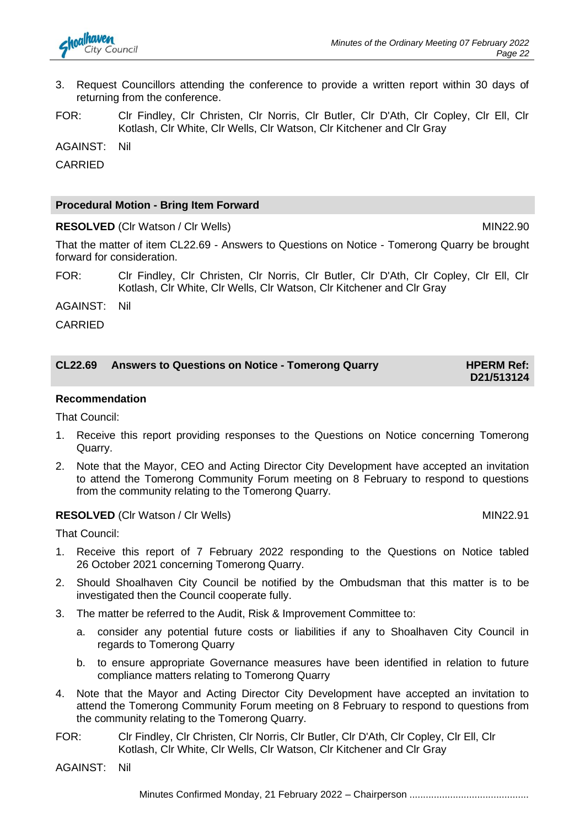

- 3. Request Councillors attending the conference to provide a written report within 30 days of returning from the conference.
- FOR: Clr Findley, Clr Christen, Clr Norris, Clr Butler, Clr D'Ath, Clr Copley, Clr Ell, Clr Kotlash, Clr White, Clr Wells, Clr Watson, Clr Kitchener and Clr Gray

AGAINST: Nil

CARRIED

#### **Procedural Motion - Bring Item Forward**

**RESOLVED** (CIr Watson / CIr Wells) MIN22.90

That the matter of item CL22.69 - Answers to Questions on Notice - Tomerong Quarry be brought forward for consideration.

FOR: Clr Findley, Clr Christen, Clr Norris, Clr Butler, Clr D'Ath, Clr Copley, Clr Ell, Clr Kotlash, Clr White, Clr Wells, Clr Watson, Clr Kitchener and Clr Gray

AGAINST: Nil

CARRIED

| <b>CL22.69</b> | <b>Answers to Questions on Notice - Tomerong Quarry</b> | <b>HPERM Ref:</b> |
|----------------|---------------------------------------------------------|-------------------|
|                |                                                         | D21/513124        |

#### **Recommendation**

That Council:

- 1. Receive this report providing responses to the Questions on Notice concerning Tomerong Quarry.
- 2. Note that the Mayor, CEO and Acting Director City Development have accepted an invitation to attend the Tomerong Community Forum meeting on 8 February to respond to questions from the community relating to the Tomerong Quarry.

#### **RESOLVED** (CIr Watson / Cir Wells) MIN22.91

That Council:

- 1. Receive this report of 7 February 2022 responding to the Questions on Notice tabled 26 October 2021 concerning Tomerong Quarry.
- 2. Should Shoalhaven City Council be notified by the Ombudsman that this matter is to be investigated then the Council cooperate fully.
- 3. The matter be referred to the Audit, Risk & Improvement Committee to:
	- a. consider any potential future costs or liabilities if any to Shoalhaven City Council in regards to Tomerong Quarry
	- b. to ensure appropriate Governance measures have been identified in relation to future compliance matters relating to Tomerong Quarry
- 4. Note that the Mayor and Acting Director City Development have accepted an invitation to attend the Tomerong Community Forum meeting on 8 February to respond to questions from the community relating to the Tomerong Quarry.
- FOR: Clr Findley, Clr Christen, Clr Norris, Clr Butler, Clr D'Ath, Clr Copley, Clr Ell, Clr Kotlash, Clr White, Clr Wells, Clr Watson, Clr Kitchener and Clr Gray

AGAINST: Nil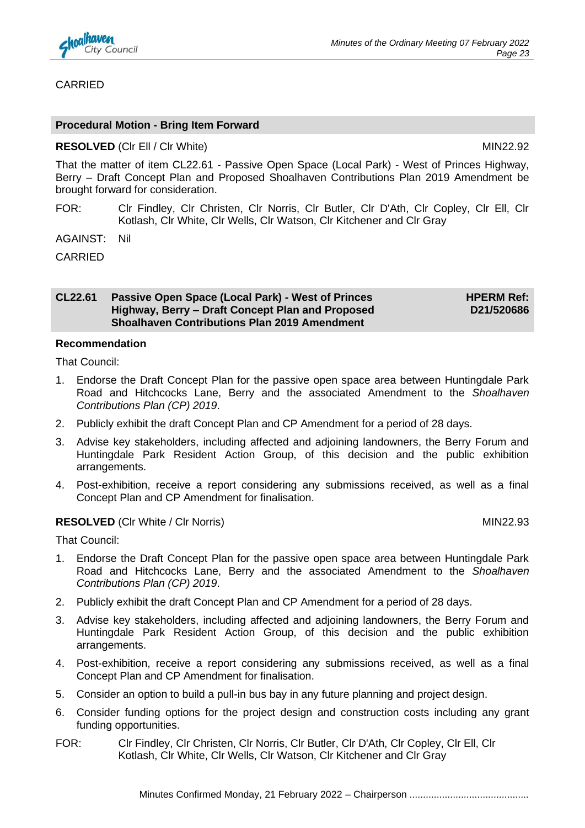

#### CARRIED

#### **Procedural Motion - Bring Item Forward**

#### **RESOLVED** (CIr Ell / CIr White) MIN22.92

That the matter of item CL22.61 - Passive Open Space (Local Park) - West of Princes Highway, Berry – Draft Concept Plan and Proposed Shoalhaven Contributions Plan 2019 Amendment be brought forward for consideration.

- FOR: Clr Findley, Clr Christen, Clr Norris, Clr Butler, Clr D'Ath, Clr Copley, Clr Ell, Clr Kotlash, Clr White, Clr Wells, Clr Watson, Clr Kitchener and Clr Gray
- AGAINST: Nil

CARRIED

#### **CL22.61 Passive Open Space (Local Park) - West of Princes Highway, Berry – Draft Concept Plan and Proposed Shoalhaven Contributions Plan 2019 Amendment**

**HPERM Ref: D21/520686**

#### **Recommendation**

That Council:

- 1. Endorse the Draft Concept Plan for the passive open space area between Huntingdale Park Road and Hitchcocks Lane, Berry and the associated Amendment to the *Shoalhaven Contributions Plan (CP) 2019*.
- 2. Publicly exhibit the draft Concept Plan and CP Amendment for a period of 28 days.
- 3. Advise key stakeholders, including affected and adjoining landowners, the Berry Forum and Huntingdale Park Resident Action Group, of this decision and the public exhibition arrangements.
- 4. Post-exhibition, receive a report considering any submissions received, as well as a final Concept Plan and CP Amendment for finalisation.

#### **RESOLVED** (CIr White / CIr Norris) MIN22.93

- 1. Endorse the Draft Concept Plan for the passive open space area between Huntingdale Park Road and Hitchcocks Lane, Berry and the associated Amendment to the *Shoalhaven Contributions Plan (CP) 2019*.
- 2. Publicly exhibit the draft Concept Plan and CP Amendment for a period of 28 days.
- 3. Advise key stakeholders, including affected and adjoining landowners, the Berry Forum and Huntingdale Park Resident Action Group, of this decision and the public exhibition arrangements.
- 4. Post-exhibition, receive a report considering any submissions received, as well as a final Concept Plan and CP Amendment for finalisation.
- 5. Consider an option to build a pull-in bus bay in any future planning and project design.
- 6. Consider funding options for the project design and construction costs including any grant funding opportunities.
- FOR: Clr Findley, Clr Christen, Clr Norris, Clr Butler, Clr D'Ath, Clr Copley, Clr Ell, Clr Kotlash, Clr White, Clr Wells, Clr Watson, Clr Kitchener and Clr Gray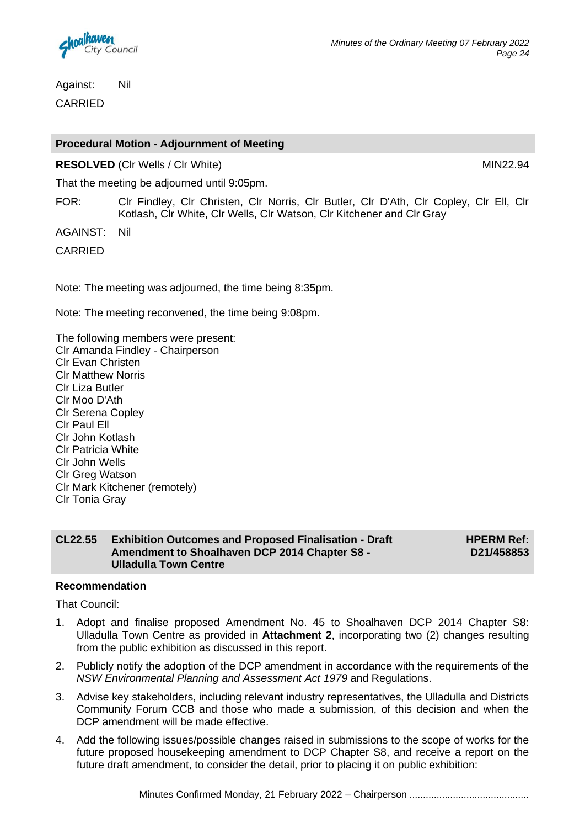

Against: Nil CARRIED

#### **Procedural Motion - Adjournment of Meeting**

**RESOLVED** (Clr Wells / Clr White) MIN22.94

That the meeting be adjourned until 9:05pm.

FOR: Clr Findley, Clr Christen, Clr Norris, Clr Butler, Clr D'Ath, Clr Copley, Clr Ell, Clr Kotlash, Clr White, Clr Wells, Clr Watson, Clr Kitchener and Clr Gray

AGAINST: Nil

CARRIED

Note: The meeting was adjourned, the time being 8:35pm.

Note: The meeting reconvened, the time being 9:08pm.

The following members were present: Clr Amanda Findley - Chairperson Clr Evan Christen Clr Matthew Norris Clr Liza Butler Clr Moo D'Ath Clr Serena Copley Clr Paul Ell Clr John Kotlash Clr Patricia White Clr John Wells Clr Greg Watson Clr Mark Kitchener (remotely) Clr Tonia Gray

#### **CL22.55 Exhibition Outcomes and Proposed Finalisation - Draft Amendment to Shoalhaven DCP 2014 Chapter S8 - Ulladulla Town Centre**

**HPERM Ref: D21/458853**

#### **Recommendation**

- 1. Adopt and finalise proposed Amendment No. 45 to Shoalhaven DCP 2014 Chapter S8: Ulladulla Town Centre as provided in **Attachment 2**, incorporating two (2) changes resulting from the public exhibition as discussed in this report.
- 2. Publicly notify the adoption of the DCP amendment in accordance with the requirements of the *NSW Environmental Planning and Assessment Act 1979* and Regulations.
- 3. Advise key stakeholders, including relevant industry representatives, the Ulladulla and Districts Community Forum CCB and those who made a submission, of this decision and when the DCP amendment will be made effective.
- 4. Add the following issues/possible changes raised in submissions to the scope of works for the future proposed housekeeping amendment to DCP Chapter S8, and receive a report on the future draft amendment, to consider the detail, prior to placing it on public exhibition: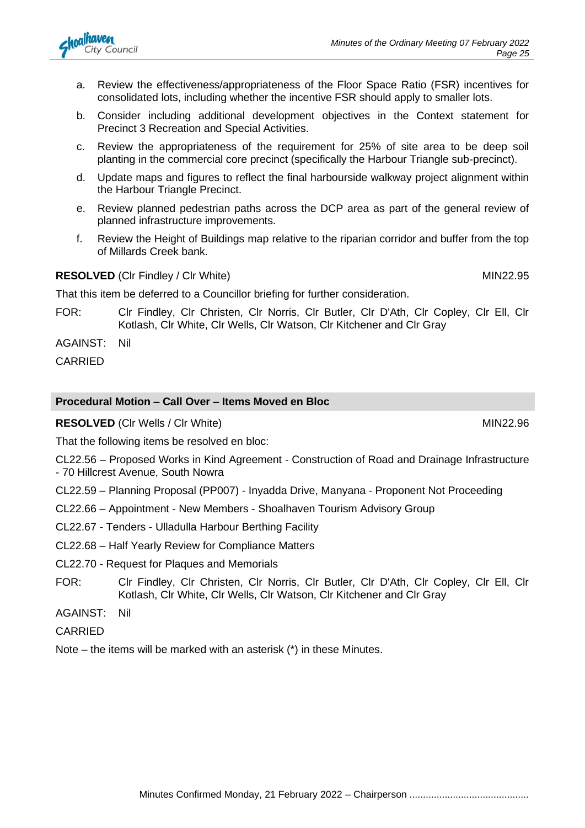

- a. Review the effectiveness/appropriateness of the Floor Space Ratio (FSR) incentives for consolidated lots, including whether the incentive FSR should apply to smaller lots.
- b. Consider including additional development objectives in the Context statement for Precinct 3 Recreation and Special Activities.
- c. Review the appropriateness of the requirement for 25% of site area to be deep soil planting in the commercial core precinct (specifically the Harbour Triangle sub-precinct).
- d. Update maps and figures to reflect the final harbourside walkway project alignment within the Harbour Triangle Precinct.
- e. Review planned pedestrian paths across the DCP area as part of the general review of planned infrastructure improvements.
- f. Review the Height of Buildings map relative to the riparian corridor and buffer from the top of Millards Creek bank.

#### **RESOLVED** (CIr Findley / CIr White) MIN22.95

That this item be deferred to a Councillor briefing for further consideration.

- FOR: Clr Findley, Clr Christen, Clr Norris, Clr Butler, Clr D'Ath, Clr Copley, Clr Ell, Clr Kotlash, Clr White, Clr Wells, Clr Watson, Clr Kitchener and Clr Gray
- AGAINST: Nil

CARRIED

#### **Procedural Motion – Call Over – Items Moved en Bloc**

**RESOLVED** (Clr Wells / Clr White) MIN22.96

That the following items be resolved en bloc:

CL22.56 – Proposed Works in Kind Agreement - Construction of Road and Drainage Infrastructure - 70 Hillcrest Avenue, South Nowra

CL22.59 – Planning Proposal (PP007) - Inyadda Drive, Manyana - Proponent Not Proceeding

- CL22.66 Appointment New Members Shoalhaven Tourism Advisory Group
- CL22.67 Tenders Ulladulla Harbour Berthing Facility

CL22.68 – Half Yearly Review for Compliance Matters

CL22.70 - Request for Plaques and Memorials

FOR: Clr Findley, Clr Christen, Clr Norris, Clr Butler, Clr D'Ath, Clr Copley, Clr Ell, Clr Kotlash, Clr White, Clr Wells, Clr Watson, Clr Kitchener and Clr Gray

AGAINST: Nil

CARRIED

Note – the items will be marked with an asterisk (\*) in these Minutes.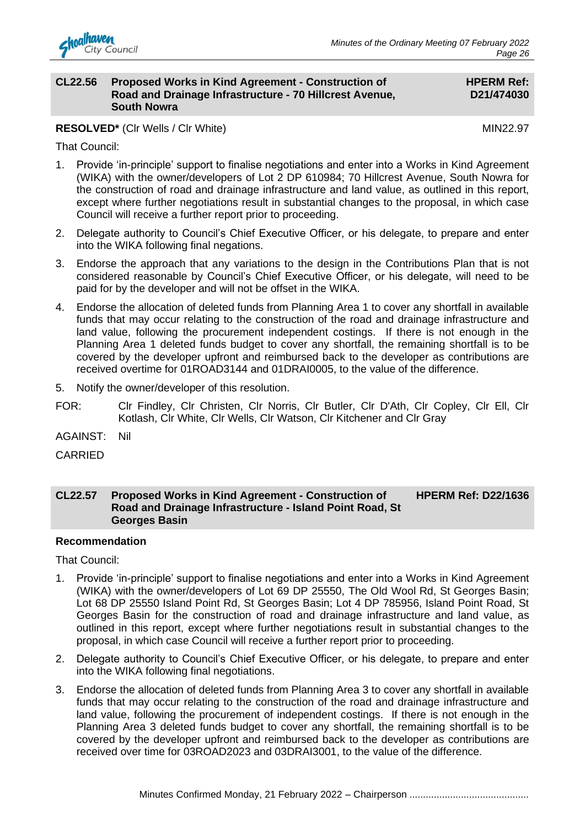

#### **CL22.56 Proposed Works in Kind Agreement - Construction of Road and Drainage Infrastructure - 70 Hillcrest Avenue, South Nowra**

#### **HPERM Ref: D21/474030**

**RESOLVED\*** (CIr Wells / CIr White) MIN22.97

That Council:

- 1. Provide 'in-principle' support to finalise negotiations and enter into a Works in Kind Agreement (WIKA) with the owner/developers of Lot 2 DP 610984; 70 Hillcrest Avenue, South Nowra for the construction of road and drainage infrastructure and land value, as outlined in this report, except where further negotiations result in substantial changes to the proposal, in which case Council will receive a further report prior to proceeding.
- 2. Delegate authority to Council's Chief Executive Officer, or his delegate, to prepare and enter into the WIKA following final negations.
- 3. Endorse the approach that any variations to the design in the Contributions Plan that is not considered reasonable by Council's Chief Executive Officer, or his delegate, will need to be paid for by the developer and will not be offset in the WIKA.
- 4. Endorse the allocation of deleted funds from Planning Area 1 to cover any shortfall in available funds that may occur relating to the construction of the road and drainage infrastructure and land value, following the procurement independent costings. If there is not enough in the Planning Area 1 deleted funds budget to cover any shortfall, the remaining shortfall is to be covered by the developer upfront and reimbursed back to the developer as contributions are received overtime for 01ROAD3144 and 01DRAI0005, to the value of the difference.
- 5. Notify the owner/developer of this resolution.
- FOR: Clr Findley, Clr Christen, Clr Norris, Clr Butler, Clr D'Ath, Clr Copley, Clr Ell, Clr Kotlash, Clr White, Clr Wells, Clr Watson, Clr Kitchener and Clr Gray
- AGAINST: Nil
- CARRIED

#### **CL22.57 Proposed Works in Kind Agreement - Construction of Road and Drainage Infrastructure - Island Point Road, St Georges Basin HPERM Ref: D22/1636**

#### **Recommendation**

- 1. Provide 'in-principle' support to finalise negotiations and enter into a Works in Kind Agreement (WIKA) with the owner/developers of Lot 69 DP 25550, The Old Wool Rd, St Georges Basin; Lot 68 DP 25550 Island Point Rd, St Georges Basin; Lot 4 DP 785956, Island Point Road, St Georges Basin for the construction of road and drainage infrastructure and land value, as outlined in this report, except where further negotiations result in substantial changes to the proposal, in which case Council will receive a further report prior to proceeding.
- 2. Delegate authority to Council's Chief Executive Officer, or his delegate, to prepare and enter into the WIKA following final negotiations.
- 3. Endorse the allocation of deleted funds from Planning Area 3 to cover any shortfall in available funds that may occur relating to the construction of the road and drainage infrastructure and land value, following the procurement of independent costings. If there is not enough in the Planning Area 3 deleted funds budget to cover any shortfall, the remaining shortfall is to be covered by the developer upfront and reimbursed back to the developer as contributions are received over time for 03ROAD2023 and 03DRAI3001, to the value of the difference.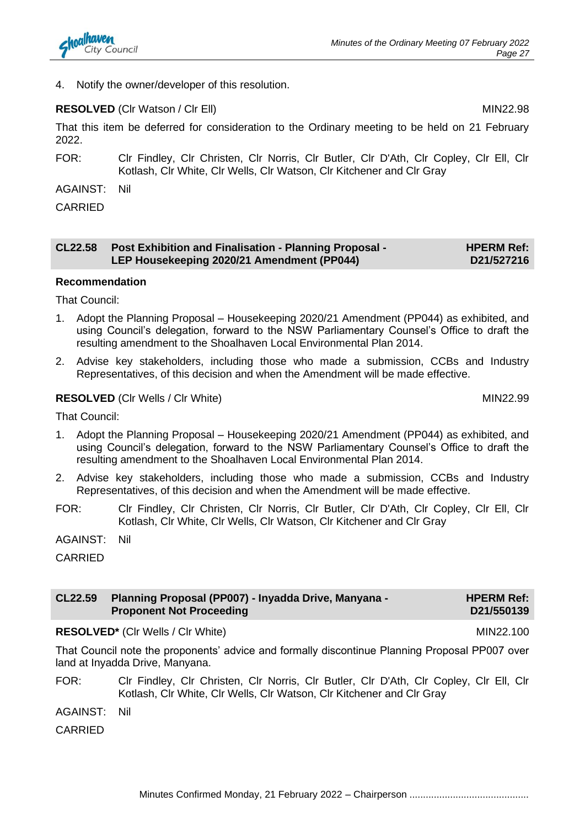4. Notify the owner/developer of this resolution.

### **RESOLVED** (CIr Watson / CIr Ell) MIN22.98

That this item be deferred for consideration to the Ordinary meeting to be held on 21 February 2022.

FOR: Clr Findley, Clr Christen, Clr Norris, Clr Butler, Clr D'Ath, Clr Copley, Clr Ell, Clr Kotlash, Clr White, Clr Wells, Clr Watson, Clr Kitchener and Clr Gray

AGAINST: Nil

CARRIED

| <b>CL22.58</b> | <b>Post Exhibition and Finalisation - Planning Proposal -</b> | <b>HPERM Ref:</b> |
|----------------|---------------------------------------------------------------|-------------------|
|                | LEP Housekeeping 2020/21 Amendment (PP044)                    | D21/527216        |

#### **Recommendation**

That Council:

- 1. Adopt the Planning Proposal Housekeeping 2020/21 Amendment (PP044) as exhibited, and using Council's delegation, forward to the NSW Parliamentary Counsel's Office to draft the resulting amendment to the Shoalhaven Local Environmental Plan 2014.
- 2. Advise key stakeholders, including those who made a submission, CCBs and Industry Representatives, of this decision and when the Amendment will be made effective.

#### **RESOLVED** (CIr Wells / CIr White) MIN22.99

That Council:

- 1. Adopt the Planning Proposal Housekeeping 2020/21 Amendment (PP044) as exhibited, and using Council's delegation, forward to the NSW Parliamentary Counsel's Office to draft the resulting amendment to the Shoalhaven Local Environmental Plan 2014.
- 2. Advise key stakeholders, including those who made a submission, CCBs and Industry Representatives, of this decision and when the Amendment will be made effective.
- FOR: Clr Findley, Clr Christen, Clr Norris, Clr Butler, Clr D'Ath, Clr Copley, Clr Ell, Clr Kotlash, Clr White, Clr Wells, Clr Watson, Clr Kitchener and Clr Gray
- AGAINST: Nil

**CARRIED** 

| CL22.59 | <b>Planning Proposal (PP007) - Inyadda Drive, Manyana -</b> | <b>HPERM Ref:</b> |
|---------|-------------------------------------------------------------|-------------------|
|         | <b>Proponent Not Proceeding</b>                             | D21/550139        |

**RESOLVED\*** (CIr Wells / CIr White) MIN22.100

That Council note the proponents' advice and formally discontinue Planning Proposal PP007 over land at Inyadda Drive, Manyana.

- FOR: Clr Findley, Clr Christen, Clr Norris, Clr Butler, Clr D'Ath, Clr Copley, Clr Ell, Clr Kotlash, Clr White, Clr Wells, Clr Watson, Clr Kitchener and Clr Gray
- AGAINST: Nil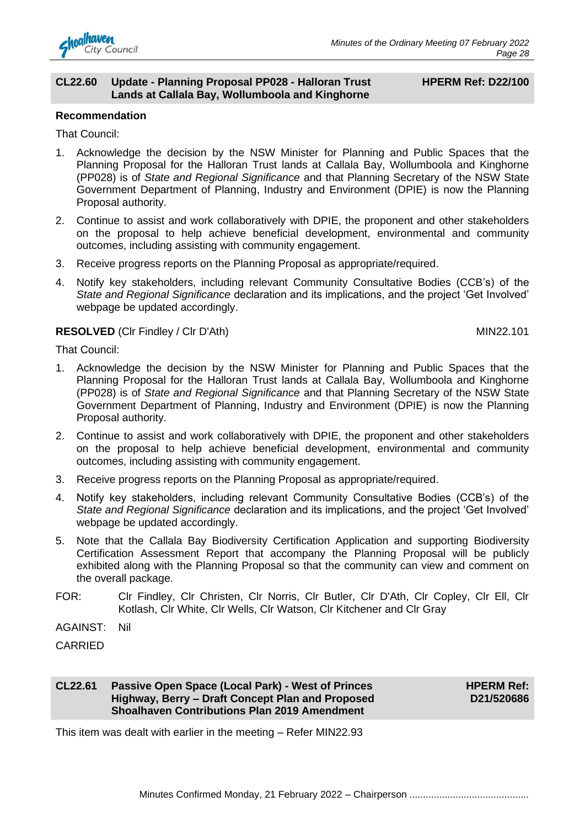

#### **CL22.60 Update - Planning Proposal PP028 - Halloran Trust Lands at Callala Bay, Wollumboola and Kinghorne**

#### **HPERM Ref: D22/100**

#### **Recommendation**

That Council:

- 1. Acknowledge the decision by the NSW Minister for Planning and Public Spaces that the Planning Proposal for the Halloran Trust lands at Callala Bay, Wollumboola and Kinghorne (PP028) is of *State and Regional Significance* and that Planning Secretary of the NSW State Government Department of Planning, Industry and Environment (DPIE) is now the Planning Proposal authority.
- 2. Continue to assist and work collaboratively with DPIE, the proponent and other stakeholders on the proposal to help achieve beneficial development, environmental and community outcomes, including assisting with community engagement.
- 3. Receive progress reports on the Planning Proposal as appropriate/required.
- 4. Notify key stakeholders, including relevant Community Consultative Bodies (CCB's) of the *State and Regional Significance* declaration and its implications, and the project 'Get Involved' webpage be updated accordingly.

#### **RESOLVED** (Clr Findley / Clr D'Ath) MIN22.101

That Council:

- 1. Acknowledge the decision by the NSW Minister for Planning and Public Spaces that the Planning Proposal for the Halloran Trust lands at Callala Bay, Wollumboola and Kinghorne (PP028) is of *State and Regional Significance* and that Planning Secretary of the NSW State Government Department of Planning, Industry and Environment (DPIE) is now the Planning Proposal authority.
- 2. Continue to assist and work collaboratively with DPIE, the proponent and other stakeholders on the proposal to help achieve beneficial development, environmental and community outcomes, including assisting with community engagement.
- 3. Receive progress reports on the Planning Proposal as appropriate/required.
- 4. Notify key stakeholders, including relevant Community Consultative Bodies (CCB's) of the *State and Regional Significance* declaration and its implications, and the project 'Get Involved' webpage be updated accordingly.
- 5. Note that the Callala Bay Biodiversity Certification Application and supporting Biodiversity Certification Assessment Report that accompany the Planning Proposal will be publicly exhibited along with the Planning Proposal so that the community can view and comment on the overall package.
- FOR: Clr Findley, Clr Christen, Clr Norris, Clr Butler, Clr D'Ath, Clr Copley, Clr Ell, Clr Kotlash, Clr White, Clr Wells, Clr Watson, Clr Kitchener and Clr Gray

AGAINST: Nil

CARRIED

#### **CL22.61 Passive Open Space (Local Park) - West of Princes Highway, Berry – Draft Concept Plan and Proposed Shoalhaven Contributions Plan 2019 Amendment**

**HPERM Ref: D21/520686**

This item was dealt with earlier in the meeting – Refer MIN22.93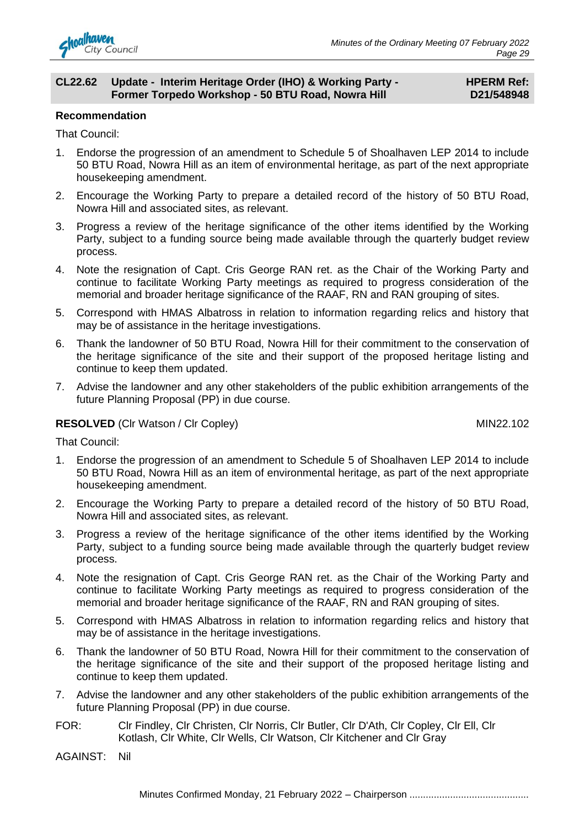

#### **CL22.62 Update - Interim Heritage Order (IHO) & Working Party - Former Torpedo Workshop - 50 BTU Road, Nowra Hill**

#### **HPERM Ref: D21/548948**

#### **Recommendation**

That Council:

- 1. Endorse the progression of an amendment to Schedule 5 of Shoalhaven LEP 2014 to include 50 BTU Road, Nowra Hill as an item of environmental heritage, as part of the next appropriate housekeeping amendment.
- 2. Encourage the Working Party to prepare a detailed record of the history of 50 BTU Road, Nowra Hill and associated sites, as relevant.
- 3. Progress a review of the heritage significance of the other items identified by the Working Party, subject to a funding source being made available through the quarterly budget review process.
- 4. Note the resignation of Capt. Cris George RAN ret. as the Chair of the Working Party and continue to facilitate Working Party meetings as required to progress consideration of the memorial and broader heritage significance of the RAAF, RN and RAN grouping of sites.
- 5. Correspond with HMAS Albatross in relation to information regarding relics and history that may be of assistance in the heritage investigations.
- 6. Thank the landowner of 50 BTU Road, Nowra Hill for their commitment to the conservation of the heritage significance of the site and their support of the proposed heritage listing and continue to keep them updated.
- 7. Advise the landowner and any other stakeholders of the public exhibition arrangements of the future Planning Proposal (PP) in due course.

#### **RESOLVED** (Cir Watson / Cir Copley) MIN22.102

That Council:

- 1. Endorse the progression of an amendment to Schedule 5 of Shoalhaven LEP 2014 to include 50 BTU Road, Nowra Hill as an item of environmental heritage, as part of the next appropriate housekeeping amendment.
- 2. Encourage the Working Party to prepare a detailed record of the history of 50 BTU Road, Nowra Hill and associated sites, as relevant.
- 3. Progress a review of the heritage significance of the other items identified by the Working Party, subject to a funding source being made available through the quarterly budget review process.
- 4. Note the resignation of Capt. Cris George RAN ret. as the Chair of the Working Party and continue to facilitate Working Party meetings as required to progress consideration of the memorial and broader heritage significance of the RAAF, RN and RAN grouping of sites.
- 5. Correspond with HMAS Albatross in relation to information regarding relics and history that may be of assistance in the heritage investigations.
- 6. Thank the landowner of 50 BTU Road, Nowra Hill for their commitment to the conservation of the heritage significance of the site and their support of the proposed heritage listing and continue to keep them updated.
- 7. Advise the landowner and any other stakeholders of the public exhibition arrangements of the future Planning Proposal (PP) in due course.
- FOR: Clr Findley, Clr Christen, Clr Norris, Clr Butler, Clr D'Ath, Clr Copley, Clr Ell, Clr Kotlash, Clr White, Clr Wells, Clr Watson, Clr Kitchener and Clr Gray

AGAINST: Nil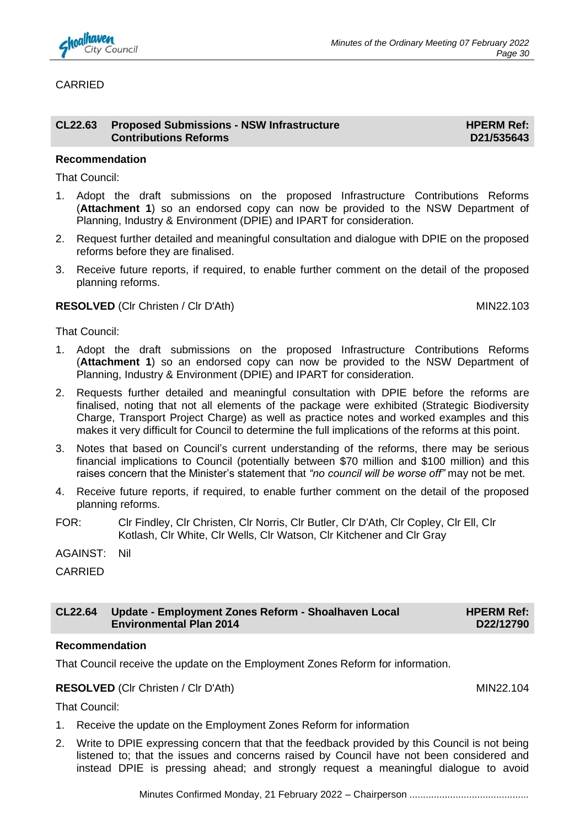

#### CARRIED

| CL22.63 Proposed Submissions - NSW Infrastructure | <b>HPERM Ref:</b> |
|---------------------------------------------------|-------------------|
| <b>Contributions Reforms</b>                      | D21/535643        |

#### **Recommendation**

That Council:

- 1. Adopt the draft submissions on the proposed Infrastructure Contributions Reforms (**Attachment 1**) so an endorsed copy can now be provided to the NSW Department of Planning, Industry & Environment (DPIE) and IPART for consideration.
- 2. Request further detailed and meaningful consultation and dialogue with DPIE on the proposed reforms before they are finalised.
- 3. Receive future reports, if required, to enable further comment on the detail of the proposed planning reforms.

#### **RESOLVED** (CIr Christen / CIr D'Ath) MIN22.103

That Council:

- 1. Adopt the draft submissions on the proposed Infrastructure Contributions Reforms (**Attachment 1**) so an endorsed copy can now be provided to the NSW Department of Planning, Industry & Environment (DPIE) and IPART for consideration.
- 2. Requests further detailed and meaningful consultation with DPIE before the reforms are finalised, noting that not all elements of the package were exhibited (Strategic Biodiversity Charge, Transport Project Charge) as well as practice notes and worked examples and this makes it very difficult for Council to determine the full implications of the reforms at this point.
- 3. Notes that based on Council's current understanding of the reforms, there may be serious financial implications to Council (potentially between \$70 million and \$100 million) and this raises concern that the Minister's statement that *"no council will be worse off"* may not be met.
- 4. Receive future reports, if required, to enable further comment on the detail of the proposed planning reforms.
- FOR: Clr Findley, Clr Christen, Clr Norris, Clr Butler, Clr D'Ath, Clr Copley, Clr Ell, Clr Kotlash, Clr White, Clr Wells, Clr Watson, Clr Kitchener and Clr Gray
- AGAINST: Nil

CARRIED

#### **CL22.64 Update - Employment Zones Reform - Shoalhaven Local Environmental Plan 2014 HPERM Ref: D22/12790**

#### **Recommendation**

That Council receive the update on the Employment Zones Reform for information.

**RESOLVED** (CIr Christen / CIr D'Ath) MIN22.104

- 1. Receive the update on the Employment Zones Reform for information
- 2. Write to DPIE expressing concern that that the feedback provided by this Council is not being listened to; that the issues and concerns raised by Council have not been considered and instead DPIE is pressing ahead; and strongly request a meaningful dialogue to avoid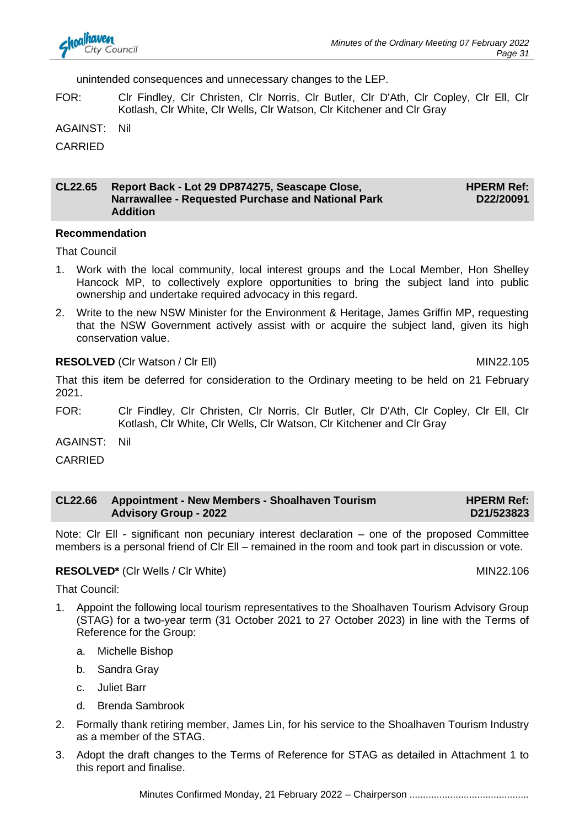unintended consequences and unnecessary changes to the LEP.

FOR: Clr Findley, Clr Christen, Clr Norris, Clr Butler, Clr D'Ath, Clr Copley, Clr Ell, Clr Kotlash, Clr White, Clr Wells, Clr Watson, Clr Kitchener and Clr Gray

AGAINST: Nil

CARRIED

#### **CL22.65 Report Back - Lot 29 DP874275, Seascape Close, Narrawallee - Requested Purchase and National Park Addition HPERM Ref: D22/20091**

#### **Recommendation**

That Council

- 1. Work with the local community, local interest groups and the Local Member, Hon Shelley Hancock MP, to collectively explore opportunities to bring the subject land into public ownership and undertake required advocacy in this regard.
- 2. Write to the new NSW Minister for the Environment & Heritage, James Griffin MP, requesting that the NSW Government actively assist with or acquire the subject land, given its high conservation value.

#### **RESOLVED** (CIr Watson / CIr Ell) MIN22.105

That this item be deferred for consideration to the Ordinary meeting to be held on 21 February 2021.

FOR: Clr Findley, Clr Christen, Clr Norris, Clr Butler, Clr D'Ath, Clr Copley, Clr Ell, Clr Kotlash, Clr White, Clr Wells, Clr Watson, Clr Kitchener and Clr Gray

AGAINST: Nil

CARRIED

| <b>CL22.66</b> | <b>Appointment - New Members - Shoalhaven Tourism</b> | <b>HPERM Ref:</b> |
|----------------|-------------------------------------------------------|-------------------|
|                | <b>Advisory Group - 2022</b>                          | D21/523823        |

Note: Clr Ell - significant non pecuniary interest declaration – one of the proposed Committee members is a personal friend of Clr Ell – remained in the room and took part in discussion or vote.

#### **RESOLVED\*** (CIr Wells / CIr White) MIN22.106

That Council:

- 1. Appoint the following local tourism representatives to the Shoalhaven Tourism Advisory Group (STAG) for a two-year term (31 October 2021 to 27 October 2023) in line with the Terms of Reference for the Group:
	- a. Michelle Bishop
	- b. Sandra Gray
	- c. Juliet Barr
	- d. Brenda Sambrook
- 2. Formally thank retiring member, James Lin, for his service to the Shoalhaven Tourism Industry as a member of the STAG.
- 3. Adopt the draft changes to the Terms of Reference for STAG as detailed in Attachment 1 to this report and finalise.

Minutes Confirmed Monday, 21 February 2022 – Chairperson ............................................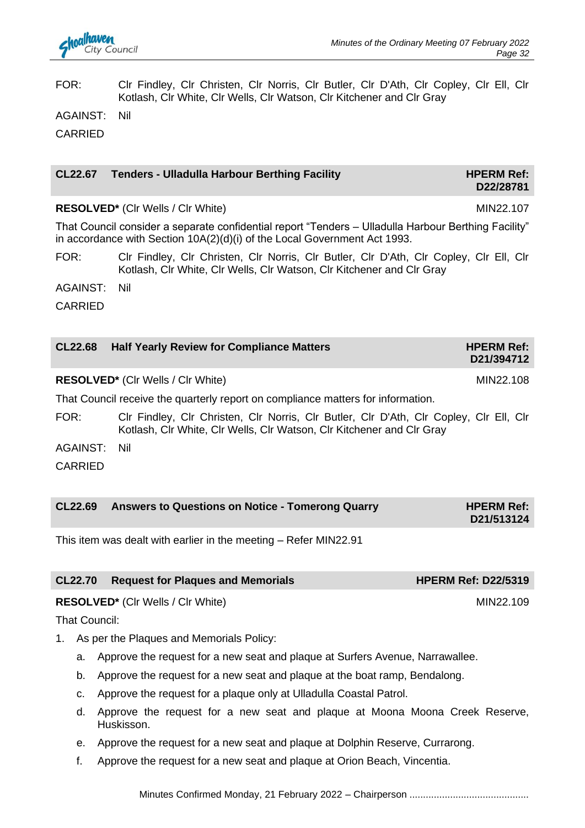#### FOR: Clr Findley, Clr Christen, Clr Norris, Clr Butler, Clr D'Ath, Clr Copley, Clr Ell, Clr Kotlash, Clr White, Clr Wells, Clr Watson, Clr Kitchener and Clr Gray

AGAINST: Nil

CARRIED

### **CL22.67 Tenders - Ulladulla Harbour Berthing Facility <b>HPERM Ref: HPERM Ref: D22/28781**

**RESOLVED\*** (CIr Wells / CIr White) MIN22.107

That Council consider a separate confidential report "Tenders – Ulladulla Harbour Berthing Facility" in accordance with Section 10A(2)(d)(i) of the Local Government Act 1993.

FOR: Clr Findley, Clr Christen, Clr Norris, Clr Butler, Clr D'Ath, Clr Copley, Clr Ell, Clr Kotlash, Clr White, Clr Wells, Clr Watson, Clr Kitchener and Clr Gray

AGAINST: Nil

CARRIED

| <b>CL22.68</b> | <b>Half Yearly Review for Compliance Matters</b>                                                   | <b>HPERM Ref:</b><br>D21/394712 |
|----------------|----------------------------------------------------------------------------------------------------|---------------------------------|
|                | <b>RESOLVED*</b> (CIr Wells / CIr White)                                                           | MIN22.108                       |
|                | . The f∧errore!! as selere the correspondence and some second! sees to set four factor former flow |                                 |

That Council receive the quarterly report on compliance matters for information.

FOR: Clr Findley, Clr Christen, Clr Norris, Clr Butler, Clr D'Ath, Clr Copley, Clr Ell, Clr Kotlash, Clr White, Clr Wells, Clr Watson, Clr Kitchener and Clr Gray

AGAINST: Nil

CARRIED

| <b>CL22.69</b> | Answers to Questions on Notice - Tomerong Quarry | <b>HPERM Ref:</b> |
|----------------|--------------------------------------------------|-------------------|
|                |                                                  | D21/513124        |

This item was dealt with earlier in the meeting – Refer MIN22.91

|  | CL22.70 Request for Plaques and Memorials | <b>HPERM Ref: D22/5319</b> |
|--|-------------------------------------------|----------------------------|
|--|-------------------------------------------|----------------------------|

**RESOLVED\*** (CIr Wells / CIr White) MIN22.109

- 1. As per the Plaques and Memorials Policy:
	- a. Approve the request for a new seat and plaque at Surfers Avenue, Narrawallee.
	- b. Approve the request for a new seat and plaque at the boat ramp, Bendalong.
	- c. Approve the request for a plaque only at Ulladulla Coastal Patrol.
	- d. Approve the request for a new seat and plaque at Moona Moona Creek Reserve, Huskisson.
	- e. Approve the request for a new seat and plaque at Dolphin Reserve, Currarong.
	- f. Approve the request for a new seat and plaque at Orion Beach, Vincentia.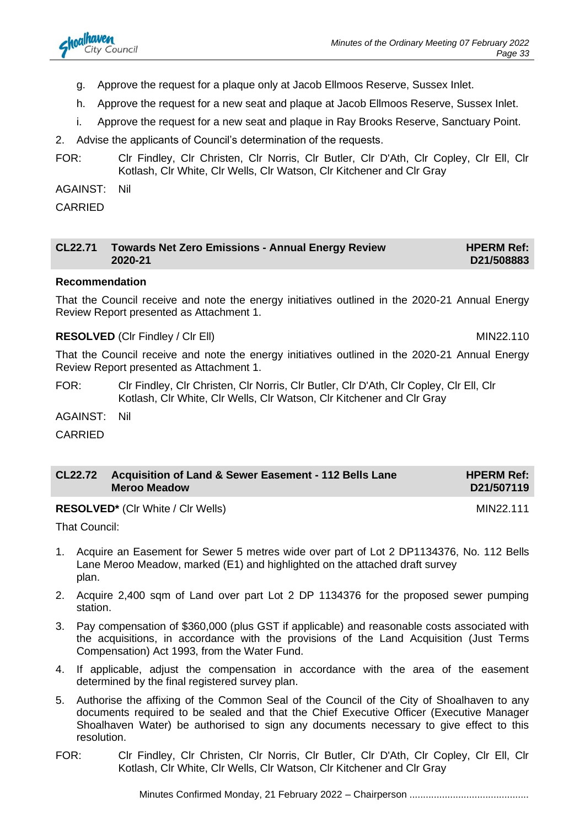- g. Approve the request for a plaque only at Jacob Ellmoos Reserve, Sussex Inlet.
- h. Approve the request for a new seat and plaque at Jacob Ellmoos Reserve, Sussex Inlet.
- i. Approve the request for a new seat and plaque in Ray Brooks Reserve, Sanctuary Point.
- 2. Advise the applicants of Council's determination of the requests.
- FOR: Clr Findley, Clr Christen, Clr Norris, Clr Butler, Clr D'Ath, Clr Copley, Clr Ell, Clr Kotlash, Clr White, Clr Wells, Clr Watson, Clr Kitchener and Clr Gray

AGAINST: Nil

CARRIED

| CL22.71 | Towards Net Zero Emissions - Annual Energy Review | <b>HPERM Ref:</b> |
|---------|---------------------------------------------------|-------------------|
|         | 2020-21                                           | D21/508883        |

#### **Recommendation**

That the Council receive and note the energy initiatives outlined in the 2020-21 Annual Energy Review Report presented as Attachment 1.

#### **RESOLVED** (CIr Findley / CIr Ell) MIN22.110

That the Council receive and note the energy initiatives outlined in the 2020-21 Annual Energy Review Report presented as Attachment 1.

FOR: Clr Findley, Clr Christen, Clr Norris, Clr Butler, Clr D'Ath, Clr Copley, Clr Ell, Clr Kotlash, Clr White, Clr Wells, Clr Watson, Clr Kitchener and Clr Gray

AGAINST: Nil

CARRIED

| CL22.72 Acquisition of Land & Sewer Easement - 112 Bells Lane | <b>HPERM Ref:</b> |
|---------------------------------------------------------------|-------------------|
| <b>Meroo Meadow</b>                                           | D21/507119        |

**RESOLVED<sup>\*</sup>** (CIr White / CIr Wells) MIN22.111

- 1. Acquire an Easement for Sewer 5 metres wide over part of Lot 2 DP1134376, No. 112 Bells Lane Meroo Meadow, marked (E1) and highlighted on the attached draft survey plan.
- 2. Acquire 2,400 sqm of Land over part Lot 2 DP 1134376 for the proposed sewer pumping station.
- 3. Pay compensation of \$360,000 (plus GST if applicable) and reasonable costs associated with the acquisitions, in accordance with the provisions of the Land Acquisition (Just Terms Compensation) Act 1993, from the Water Fund.
- 4. If applicable, adjust the compensation in accordance with the area of the easement determined by the final registered survey plan.
- 5. Authorise the affixing of the Common Seal of the Council of the City of Shoalhaven to any documents required to be sealed and that the Chief Executive Officer (Executive Manager Shoalhaven Water) be authorised to sign any documents necessary to give effect to this resolution.
- FOR: Clr Findley, Clr Christen, Clr Norris, Clr Butler, Clr D'Ath, Clr Copley, Clr Ell, Clr Kotlash, Clr White, Clr Wells, Clr Watson, Clr Kitchener and Clr Gray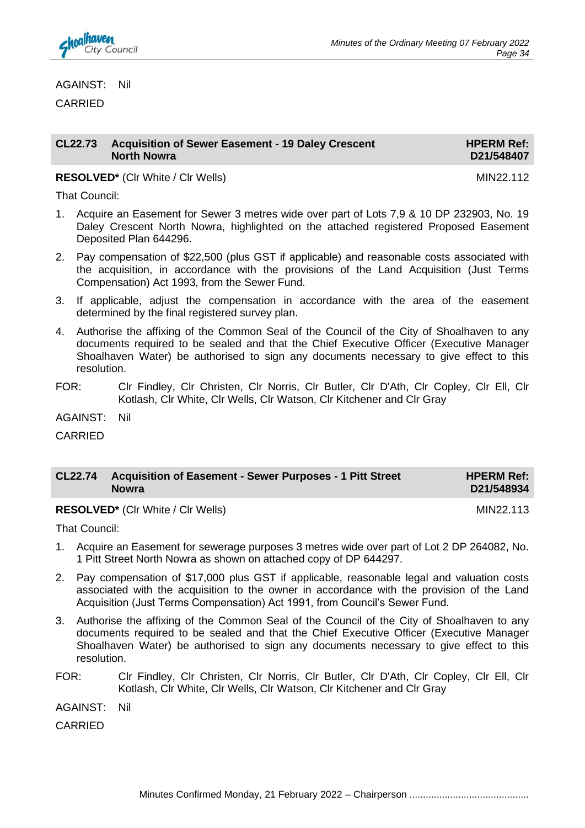

AGAINST: Nil

CARRIED

#### **CL22.73 Acquisition of Sewer Easement - 19 Daley Crescent North Nowra**

**HPERM Ref: D21/548407**

**RESOLVED<sup>\*</sup>** (Clr White / Clr Wells) MIN22.112

That Council:

- 1. Acquire an Easement for Sewer 3 metres wide over part of Lots 7,9 & 10 DP 232903, No. 19 Daley Crescent North Nowra, highlighted on the attached registered Proposed Easement Deposited Plan 644296.
- 2. Pay compensation of \$22,500 (plus GST if applicable) and reasonable costs associated with the acquisition, in accordance with the provisions of the Land Acquisition (Just Terms Compensation) Act 1993, from the Sewer Fund.
- 3. If applicable, adjust the compensation in accordance with the area of the easement determined by the final registered survey plan.
- 4. Authorise the affixing of the Common Seal of the Council of the City of Shoalhaven to any documents required to be sealed and that the Chief Executive Officer (Executive Manager Shoalhaven Water) be authorised to sign any documents necessary to give effect to this resolution.
- FOR: Clr Findley, Clr Christen, Clr Norris, Clr Butler, Clr D'Ath, Clr Copley, Clr Ell, Clr Kotlash, Clr White, Clr Wells, Clr Watson, Clr Kitchener and Clr Gray

AGAINST: Nil

CARRIED

| CL22.74 Acquisition of Easement - Sewer Purposes - 1 Pitt Street | <b>HPERM Ref:</b> |
|------------------------------------------------------------------|-------------------|
| <b>Nowra</b>                                                     | D21/548934        |

**RESOLVED<sup>\*</sup>** (Clr White / Clr Wells) MIN22.113

That Council:

- 1. Acquire an Easement for sewerage purposes 3 metres wide over part of Lot 2 DP 264082, No. 1 Pitt Street North Nowra as shown on attached copy of DP 644297.
- 2. Pay compensation of \$17,000 plus GST if applicable, reasonable legal and valuation costs associated with the acquisition to the owner in accordance with the provision of the Land Acquisition (Just Terms Compensation) Act 1991, from Council's Sewer Fund.
- 3. Authorise the affixing of the Common Seal of the Council of the City of Shoalhaven to any documents required to be sealed and that the Chief Executive Officer (Executive Manager Shoalhaven Water) be authorised to sign any documents necessary to give effect to this resolution.
- FOR: Clr Findley, Clr Christen, Clr Norris, Clr Butler, Clr D'Ath, Clr Copley, Clr Ell, Clr Kotlash, Clr White, Clr Wells, Clr Watson, Clr Kitchener and Clr Gray
- AGAINST: Nil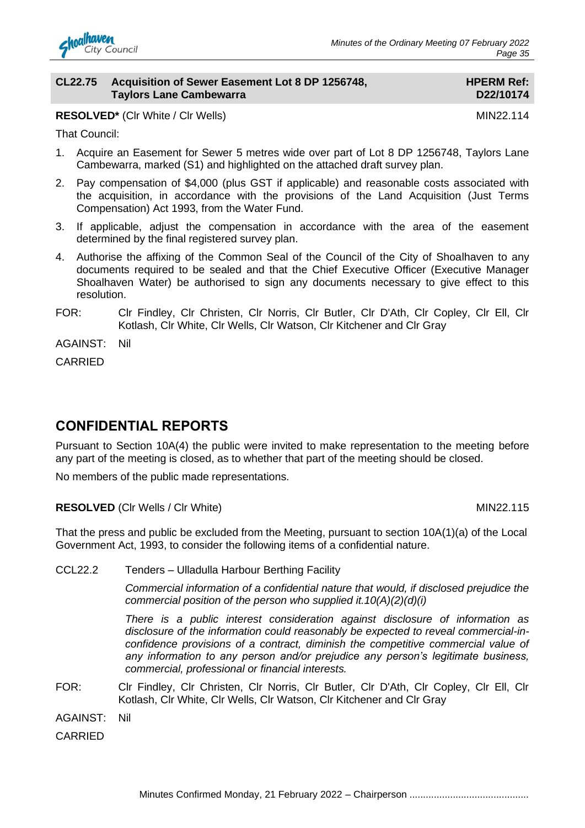

#### **CL22.75 Acquisition of Sewer Easement Lot 8 DP 1256748, Taylors Lane Cambewarra**

#### **HPERM Ref: D22/10174**

**RESOLVED\*** (CIr White / CIr Wells) MIN22.114

That Council:

- 1. Acquire an Easement for Sewer 5 metres wide over part of Lot 8 DP 1256748, Taylors Lane Cambewarra, marked (S1) and highlighted on the attached draft survey plan.
- 2. Pay compensation of \$4,000 (plus GST if applicable) and reasonable costs associated with the acquisition, in accordance with the provisions of the Land Acquisition (Just Terms Compensation) Act 1993, from the Water Fund.
- 3. If applicable, adjust the compensation in accordance with the area of the easement determined by the final registered survey plan.
- 4. Authorise the affixing of the Common Seal of the Council of the City of Shoalhaven to any documents required to be sealed and that the Chief Executive Officer (Executive Manager Shoalhaven Water) be authorised to sign any documents necessary to give effect to this resolution.
- FOR: Clr Findley, Clr Christen, Clr Norris, Clr Butler, Clr D'Ath, Clr Copley, Clr Ell, Clr Kotlash, Clr White, Clr Wells, Clr Watson, Clr Kitchener and Clr Gray

AGAINST: Nil

CARRIED

# **CONFIDENTIAL REPORTS**

Pursuant to Section 10A(4) the public were invited to make representation to the meeting before any part of the meeting is closed, as to whether that part of the meeting should be closed.

No members of the public made representations.

**RESOLVED** (CIr Wells / CIr White) MIN22.115

That the press and public be excluded from the Meeting, pursuant to section 10A(1)(a) of the Local Government Act, 1993, to consider the following items of a confidential nature.

CCL22.2 Tenders – Ulladulla Harbour Berthing Facility

*Commercial information of a confidential nature that would, if disclosed prejudice the commercial position of the person who supplied it.10(A)(2)(d)(i)*

*There is a public interest consideration against disclosure of information as disclosure of the information could reasonably be expected to reveal commercial-inconfidence provisions of a contract, diminish the competitive commercial value of any information to any person and/or prejudice any person's legitimate business, commercial, professional or financial interests.*

FOR: Clr Findley, Clr Christen, Clr Norris, Clr Butler, Clr D'Ath, Clr Copley, Clr Ell, Clr Kotlash, Clr White, Clr Wells, Clr Watson, Clr Kitchener and Clr Gray

AGAINST: Nil